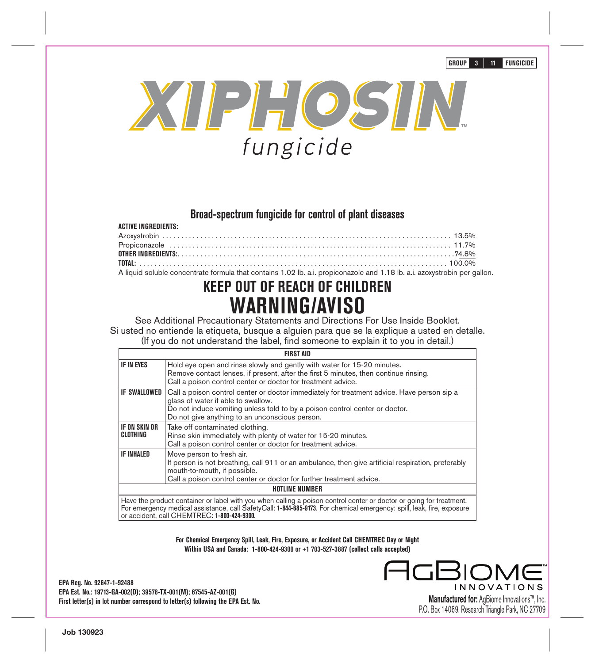**GROUP 3 11 FUNGICIDE**



# **Broad-spectrum fungicide for control of plant diseases**

| <b>ACTIVE INGREDIENTS:</b>                                                                                                |  |
|---------------------------------------------------------------------------------------------------------------------------|--|
|                                                                                                                           |  |
|                                                                                                                           |  |
|                                                                                                                           |  |
|                                                                                                                           |  |
| A liquid soluble concentrate formula that contains 1.02 lb. a.i. propiconazole and 1.18 lb. a.i. azoxystrobin per gallon. |  |

# **KEEP OUT OF REACH OF CHILDREN WARNING/AVISO**

See Additional Precautionary Statements and Directions For Use Inside Booklet. Si usted no entiende la etiqueta, busque a alguien para que se la explique a usted en detalle. (If you do not understand the label, find someone to explain it to you in detail.)

|                                  | <b>FIRST AID</b>                                                                                                                                                                                                                                                  |
|----------------------------------|-------------------------------------------------------------------------------------------------------------------------------------------------------------------------------------------------------------------------------------------------------------------|
| <b>IF IN EYES</b>                | Hold eye open and rinse slowly and gently with water for 15-20 minutes.<br>Remove contact lenses, if present, after the first 5 minutes, then continue rinsing.<br>Call a poison control center or doctor for treatment advice.                                   |
| <b>IF SWALLOWED I</b>            | Call a poison control center or doctor immediately for treatment advice. Have person sip a<br>glass of water if able to swallow.<br>Do not induce vomiting unless told to by a poison control center or doctor.<br>Do not give anything to an unconscious person. |
| <b>IF ON SKIN OR</b><br>CLOTHING | Take off contaminated clothing.<br>Rinse skin immediately with plenty of water for 15-20 minutes.<br>Call a poison control center or doctor for treatment advice.                                                                                                 |
| <b>IF INHALED</b>                | Move person to fresh air.<br>If person is not breathing, call 911 or an ambulance, then give artificial respiration, preferably<br>mouth-to-mouth, if possible.<br>Call a poison control center or doctor for further treatment advice.                           |
|                                  | <b>HOTLINE NUMBER</b>                                                                                                                                                                                                                                             |
|                                  | Have the product container or label with you when calling a poison control center or doctor or going for treatment                                                                                                                                                |

Have the product container or label with you when calling a poison control center or doctor or going for treatment.<br>For emergency medical assistance, call SafetyCall: **1-844-685-9173**. For chemical emergency: spill, leak, or accident, call CHEMTREC: **1-800-424-9300.**

> **For Chemical Emergency Spill, Leak, Fire, Exposure, or Accident Call CHEMTREC Day or Night Within USA and Canada: 1-800-424-9300 or +1 703-527-3887 (collect calls accepted)**

**EPA Reg. No. 92647-1-92488 EPA Est. No.: 19713-GA-002(D); 39578-TX-001(M); 67545-AZ-001(G) First letter(s) in lot number correspond to letter(s) following the EPA Est. No.** **INNOVATIONS** 

**Manufactured for:** AgBiome Innovations™, Inc. P.O. Box 14069, Research Triangle Park, NC 27709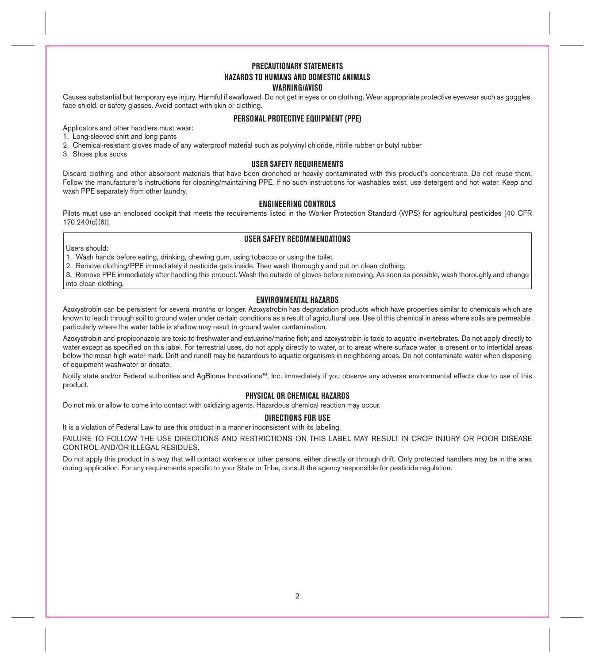# **PRECAUTIONARY STATEMENTS HAZARDS TO HUMANS AND DOMESTIC ANIMALS WARNING/AVISO**

Causes substantial but temporary eye injury. Harmful if swallowed. Do not get in eyes or on clothing. Wear appropriate protective eyewear such as goggles, face shield, or safety glasses. Avoid contact with skin or clothing.

# **PERSONAL PROTECTIVE EQUIPMENT (PPE)**

Applicators and other handlers must wear:

- 1. Long-sleeved shirt and long pants
- 2. Chemical-resistant gloves made of any waterproof material such as polyvinyl chloride, nitrile rubber or butyl rubber
- 3. Shoes plus socks

### **USER SAFETY REQUIREMENTS**

Discard clothing and other absorbent materials that have been drenched or heavily contaminated with this product's concentrate. Do not reuse them. Follow the manufacturer's instructions for cleaning/maintaining PPE. If no such instructions for washables exist, use detergent and hot water. Keep and wash PPE separately from other laundry.

# **ENGINEERING CONTROLS**

Pilots must use an enclosed cockpit that meets the requirements listed in the Worker Protection Standard (WPS) for agricultural pesticides [40 CFR 170.240(d)(6)].

# **USER SAFETY RECOMMENDATIONS**

Users should:

1. Wash hands before eating, drinking, chewing gum, using tobacco or using the toilet.

2. Remove clothing/PPE immediately if pesticide gets inside. Then wash thoroughly and put on clean clothing.

3. Remove PPE immediately after handling this product. Wash the outside of gloves before removing. As soon as possible, wash thoroughly and change into clean clothing.

### **ENVIRONMENTAL HAZARDS**

Azoxystrobin can be persistent for several months or longer. Azoxystrobin has degradation products which have properties similar to chemicals which are known to leach through soil to ground water under certain conditions as a result of agricultural use. Use of this chemical in areas where soils are permeable, particularly where the water table is shallow may result in ground water contamination.

Azoxystrobin and propiconazole are toxic to freshwater and estuarine/marine fish; and azoxystrobin is toxic to aquatic invertebrates. Do not apply directly to water except as specified on this label. For terrestrial uses, do not apply directly to water, or to areas where surface water is present or to intertidal areas below the mean high water mark. Drift and runoff may be hazardous to aquatic organisms in neighboring areas. Do not contaminate water when disposing of equipment washwater or rinsate.

Notify state and/or Federal authorities and AgBiome Innovations™, Inc. immediately if you observe any adverse environmental effects due to use of this product.

# **PHYSICAL OR CHEMICAL HAZARDS**

Do not mix or allow to come into contact with oxidizing agents. Hazardous chemical reaction may occur.

# **DIRECTIONS FOR USE**

It is a violation of Federal Law to use this product in a manner inconsistent with its labeling.

FAILURE TO FOLLOW THE USE DIRECTIONS AND RESTRICTIONS ON THIS LABEL MAY RESULT IN CROP INJURY OR POOR DISEASE CONTROL AND/OR ILLEGAL RESIDUES.

Do not apply this product in a way that will contact workers or other persons, either directly or through drift. Only protected handlers may be in the area during application. For any requirements specific to your State or Tribe, consult the agency responsible for pesticide regulation.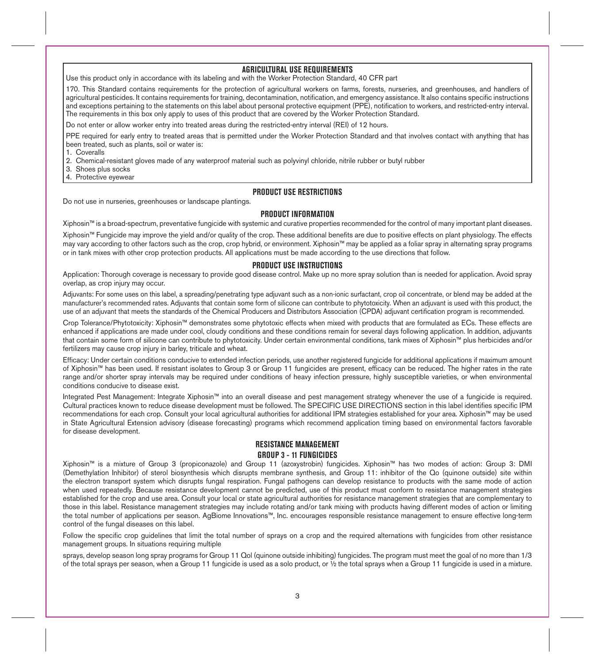# **AGRICULTURAL USE REQUIREMENTS**

Use this product only in accordance with its labeling and with the Worker Protection Standard, 40 CFR part

170. This Standard contains requirements for the protection of agricultural workers on farms, forests, nurseries, and greenhouses, and handlers of agricultural pesticides. It contains requirements for training, decontamination, notification, and emergency assistance. It also contains specific instructions and exceptions pertaining to the statements on this label about personal protective equipment (PPE), notification to workers, and restricted-entry interval. The requirements in this box only apply to uses of this product that are covered by the Worker Protection Standard.

Do not enter or allow worker entry into treated areas during the restricted-entry interval (REI) of 12 hours.

PPE required for early entry to treated areas that is permitted under the Worker Protection Standard and that involves contact with anything that has been treated, such as plants, soil or water is:

1. Coveralls

2. Chemical-resistant gloves made of any waterproof material such as polyvinyl chloride, nitrile rubber or butyl rubber

- 3. Shoes plus socks
- 4. Protective eyewear

### **PRODUCT USE RESTRICTIONS**

Do not use in nurseries, greenhouses or landscape plantings.

# **PRODUCT INFORMATION**

Xiphosin™ is a broad-spectrum, preventative fungicide with systemic and curative properties recommended for the control of many important plant diseases.

Xiphosin™ Fungicide may improve the yield and/or quality of the crop. These additional benefits are due to positive effects on plant physiology. The effects may vary according to other factors such as the crop, crop hybrid, or environment. Xiphosin™ may be applied as a foliar spray in alternating spray programs or in tank mixes with other crop protection products. All applications must be made according to the use directions that follow.

### **PRODUCT USE INSTRUCTIONS**

Application: Thorough coverage is necessary to provide good disease control. Make up no more spray solution than is needed for application. Avoid spray overlap, as crop injury may occur.

Adjuvants: For some uses on this label, a spreading/penetrating type adjuvant such as a non-ionic surfactant, crop oil concentrate, or blend may be added at the manufacturer's recommended rates. Adjuvants that contain some form of silicone can contribute to phytotoxicity. When an adjuvant is used with this product, the use of an adjuvant that meets the standards of the Chemical Producers and Distributors Association (CPDA) adjuvant certification program is recommended.

Crop Tolerance/Phytotoxicity: Xiphosin™ demonstrates some phytotoxic effects when mixed with products that are formulated as ECs. These effects are enhanced if applications are made under cool, cloudy conditions and these conditions remain for several days following application. In addition, adjuvants that contain some form of silicone can contribute to phytotoxicity. Under certain environmental conditions, tank mixes of Xiphosin™ plus herbicides and/or fertilizers may cause crop injury in barley, triticale and wheat.

Efficacy: Under certain conditions conducive to extended infection periods, use another registered fungicide for additional applications if maximum amount of Xiphosin™ has been used. If resistant isolates to Group 3 or Group 11 fungicides are present, efficacy can be reduced. The higher rates in the rate range and/or shorter spray intervals may be required under conditions of heavy infection pressure, highly susceptible varieties, or when environmental conditions conducive to disease exist.

Integrated Pest Management: Integrate Xiphosin™ into an overall disease and pest management strategy whenever the use of a fungicide is required. Cultural practices known to reduce disease development must be followed. The SPECIFIC USE DIRECTIONS section in this label identifies specific IPM recommendations for each crop. Consult your local agricultural authorities for additional IPM strategies established for your area. Xiphosin™ may be used in State Agricultural Extension advisory (disease forecasting) programs which recommend application timing based on environmental factors favorable for disease development.

# **RESISTANCE MANAGEMENT GROUP 3 - 11 FUNGICIDES**

Xiphosin™ is a mixture of Group 3 (propiconazole) and Group 11 (azoxystrobin) fungicides. Xiphosin™ has two modes of action: Group 3: DMI (Demethylation Inhibitor) of sterol biosynthesis which disrupts membrane synthesis, and Group 11: inhibitor of the Qo (quinone outside) site within the electron transport system which disrupts fungal respiration. Fungal pathogens can develop resistance to products with the same mode of action when used repeatedly. Because resistance development cannot be predicted, use of this product must conform to resistance management strategies established for the crop and use area. Consult your local or state agricultural authorities for resistance management strategies that are complementary to those in this label. Resistance management strategies may include rotating and/or tank mixing with products having different modes of action or limiting the total number of applications per season. AgBiome Innovations™, Inc. encourages responsible resistance management to ensure effective long-term control of the fungal diseases on this label.

Follow the specific crop guidelines that limit the total number of sprays on a crop and the required alternations with fungicides from other resistance management groups. In situations requiring multiple

sprays, develop season long spray programs for Group 11 Qol (quinone outside inhibiting) fungicides. The program must meet the goal of no more than 1/3 of the total sprays per season, when a Group 11 fungicide is used as a solo product, or ½ the total sprays when a Group 11 fungicide is used in a mixture.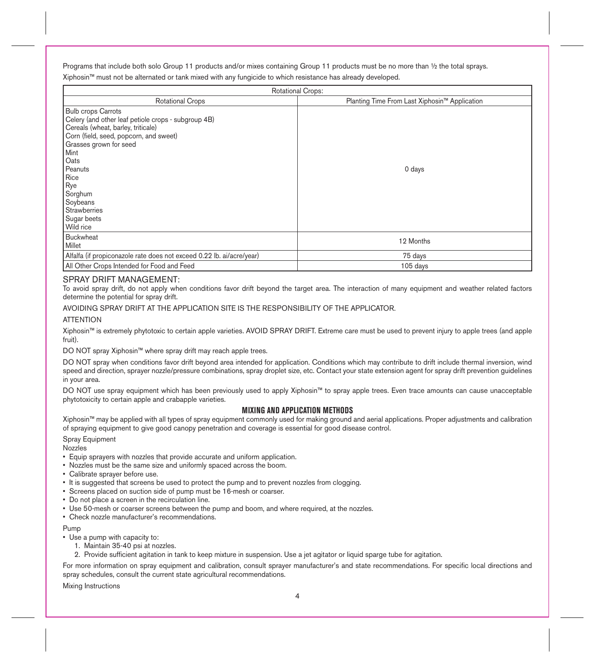Programs that include both solo Group 11 products and/or mixes containing Group 11 products must be no more than ½ the total sprays. Xiphosin™ must not be alternated or tank mixed with any fungicide to which resistance has already developed.

| <b>Rotational Crops:</b>                                              |                                               |
|-----------------------------------------------------------------------|-----------------------------------------------|
| <b>Rotational Crops</b>                                               | Planting Time From Last Xiphosin™ Application |
| <b>Bulb crops Carrots</b>                                             |                                               |
| Celery (and other leaf petiole crops - subgroup 4B)                   |                                               |
| Cereals (wheat, barley, triticale)                                    |                                               |
| Corn (field, seed, popcorn, and sweet)                                |                                               |
| Grasses grown for seed                                                |                                               |
| Mint                                                                  |                                               |
| Oats                                                                  |                                               |
| Peanuts                                                               | 0 days                                        |
| Rice                                                                  |                                               |
| Rye                                                                   |                                               |
| Sorghum                                                               |                                               |
| Soybeans                                                              |                                               |
| Strawberries                                                          |                                               |
| Sugar beets                                                           |                                               |
| Wild rice                                                             |                                               |
| Buckwheat                                                             | 12 Months                                     |
| Millet                                                                |                                               |
| Alfalfa (if propiconazole rate does not exceed 0.22 lb. ai/acre/year) | 75 days                                       |
| All Other Crops Intended for Food and Feed                            | 105 days                                      |

## SPRAY DRIFT MANAGEMENT:

To avoid spray drift, do not apply when conditions favor drift beyond the target area. The interaction of many equipment and weather related factors determine the potential for spray drift.

### AVOIDING SPRAY DRIFT AT THE APPLICATION SITE IS THE RESPONSIBILITY OF THE APPLICATOR.

### **ATTENTION**

Xiphosin™ is extremely phytotoxic to certain apple varieties. AVOID SPRAY DRIFT. Extreme care must be used to prevent injury to apple trees (and apple fruit).

DO NOT spray Xiphosin™ where spray drift may reach apple trees.

DO NOT spray when conditions favor drift beyond area intended for application. Conditions which may contribute to drift include thermal inversion, wind speed and direction, sprayer nozzle/pressure combinations, spray droplet size, etc. Contact your state extension agent for spray drift prevention guidelines in your area.

DO NOT use spray equipment which has been previously used to apply Xiphosin™ to spray apple trees. Even trace amounts can cause unacceptable phytotoxicity to certain apple and crabapple varieties.

# **MIXING AND APPLICATION METHODS**

Xiphosin™ may be applied with all types of spray equipment commonly used for making ground and aerial applications. Proper adjustments and calibration of spraying equipment to give good canopy penetration and coverage is essential for good disease control.

### Spray Equipment

**Nozzles** 

- Equip sprayers with nozzles that provide accurate and uniform application.
- Nozzles must be the same size and uniformly spaced across the boom.
- Calibrate sprayer before use.
- It is suggested that screens be used to protect the pump and to prevent nozzles from clogging.
- Screens placed on suction side of pump must be 16-mesh or coarser.
- Do not place a screen in the recirculation line.
- Use 50-mesh or coarser screens between the pump and boom, and where required, at the nozzles.
- Check nozzle manufacturer's recommendations.

# Pump

- Use a pump with capacity to:
	- 1. Maintain 35-40 psi at nozzles.
	- 2. Provide sufficient agitation in tank to keep mixture in suspension. Use a jet agitator or liquid sparge tube for agitation.

For more information on spray equipment and calibration, consult sprayer manufacturer's and state recommendations. For specific local directions and spray schedules, consult the current state agricultural recommendations.

Mixing Instructions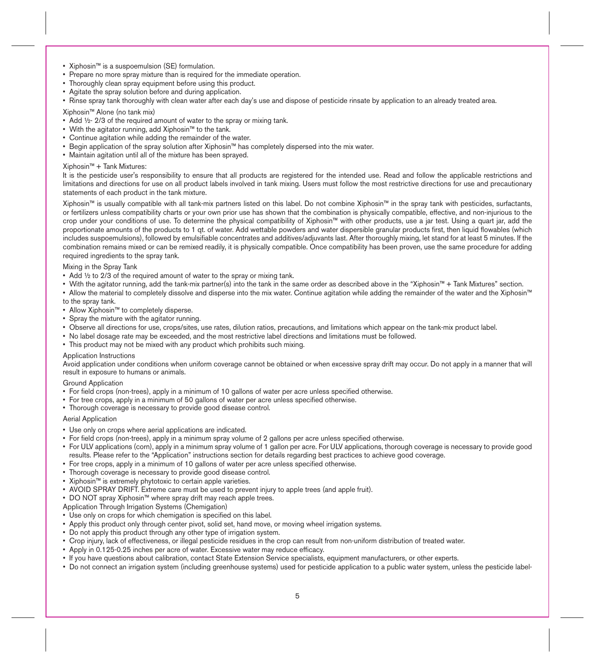- Xiphosin™ is a suspoemulsion (SE) formulation.
- Prepare no more spray mixture than is required for the immediate operation.
- Thoroughly clean spray equipment before using this product.
- Agitate the spray solution before and during application.
- Rinse spray tank thoroughly with clean water after each day's use and dispose of pesticide rinsate by application to an already treated area.

Xiphosin™ Alone (no tank mix)

- Add  $\frac{1}{2}$  2/3 of the required amount of water to the spray or mixing tank.
- With the agitator running, add Xiphosin™ to the tank.
- Continue agitation while adding the remainder of the water.
- Begin application of the spray solution after Xiphosin™ has completely dispersed into the mix water.
- Maintain agitation until all of the mixture has been sprayed.

### Xiphosin™ + Tank Mixtures:

It is the pesticide user's responsibility to ensure that all products are registered for the intended use. Read and follow the applicable restrictions and limitations and directions for use on all product labels involved in tank mixing. Users must follow the most restrictive directions for use and precautionary statements of each product in the tank mixture.

Xiphosin™ is usually compatible with all tank-mix partners listed on this label. Do not combine Xiphosin™ in the spray tank with pesticides, surfactants, or fertilizers unless compatibility charts or your own prior use has shown that the combination is physically compatible, effective, and non-injurious to the crop under your conditions of use. To determine the physical compatibility of Xiphosin™ with other products, use a jar test. Using a quart jar, add the proportionate amounts of the products to 1 qt. of water. Add wettable powders and water dispersible granular products first, then liquid flowables (which includes suspoemulsions), followed by emulsifiable concentrates and additives/adjuvants last. After thoroughly mixing, let stand for at least 5 minutes. If the combination remains mixed or can be remixed readily, it is physically compatible. Once compatibility has been proven, use the same procedure for adding required ingredients to the spray tank.

### Mixing in the Spray Tank

- Add  $\frac{1}{2}$  to 2/3 of the required amount of water to the spray or mixing tank.
- With the agitator running, add the tank-mix partner(s) into the tank in the same order as described above in the "Xiphosin™ + Tank Mixtures" section.
- Allow the material to completely dissolve and disperse into the mix water. Continue agitation while adding the remainder of the water and the Xiphosin™ to the spray tank.
- Allow Xiphosin™ to completely disperse.
- Spray the mixture with the agitator running.
- Observe all directions for use, crops/sites, use rates, dilution ratios, precautions, and limitations which appear on the tank-mix product label.
- No label dosage rate may be exceeded, and the most restrictive label directions and limitations must be followed.
- This product may not be mixed with any product which prohibits such mixing.

### Application Instructions

Avoid application under conditions when uniform coverage cannot be obtained or when excessive spray drift may occur. Do not apply in a manner that will result in exposure to humans or animals.

## Ground Application

- For field crops (non-trees), apply in a minimum of 10 gallons of water per acre unless specified otherwise.
- For tree crops, apply in a minimum of 50 gallons of water per acre unless specified otherwise.
- Thorough coverage is necessary to provide good disease control.

### Aerial Application

- Use only on crops where aerial applications are indicated.
- For field crops (non-trees), apply in a minimum spray volume of 2 gallons per acre unless specified otherwise.
- For ULV applications (corn), apply in a minimum spray volume of 1 gallon per acre. For ULV applications, thorough coverage is necessary to provide good results. Please refer to the "Application" instructions section for details regarding best practices to achieve good coverage.
- For tree crops, apply in a minimum of 10 gallons of water per acre unless specified otherwise.
- Thorough coverage is necessary to provide good disease control.
- Xiphosin™ is extremely phytotoxic to certain apple varieties.
- AVOID SPRAY DRIFT. Extreme care must be used to prevent injury to apple trees (and apple fruit).
- DO NOT spray Xiphosin™ where spray drift may reach apple trees.
- Application Through Irrigation Systems (Chemigation)
- Use only on crops for which chemigation is specified on this label.
- Apply this product only through center pivot, solid set, hand move, or moving wheel irrigation systems.
- Do not apply this product through any other type of irrigation system.
- Crop injury, lack of effectiveness, or illegal pesticide residues in the crop can result from non-uniform distribution of treated water.
- Apply in 0.125-0.25 inches per acre of water. Excessive water may reduce efficacy.
- If you have questions about calibration, contact State Extension Service specialists, equipment manufacturers, or other experts.
- Do not connect an irrigation system (including greenhouse systems) used for pesticide application to a public water system, unless the pesticide label-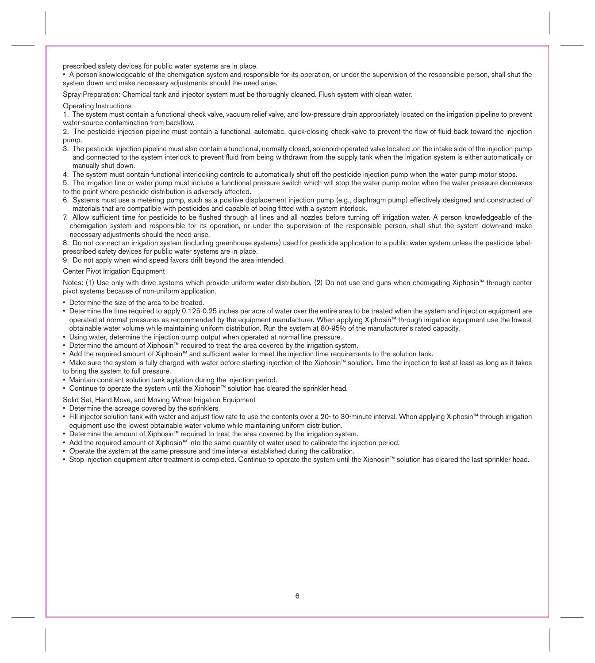prescribed safety devices for public water systems are in place.

• A person knowledgeable of the chemigation system and responsible for its operation, or under the supervision of the responsible person, shall shut the system down and make necessary adjustments should the need arise.

Spray Preparation: Chemical tank and injector system must be thoroughly cleaned. Flush system with clean water.

#### Operating Instructions

1. The system must contain a functional check valve, vacuum relief valve, and low-pressure drain appropriately located on the irrigation pipeline to prevent water-source contamination from backflow.

2. The pesticide injection pipeline must contain a functional, automatic, quick-closing check valve to prevent the flow of fluid back toward the injection pump.

- 3. The pesticide injection pipeline must also contain a functional, normally closed, solenoid-operated valve located .on the intake side of the injection pump and connected to the system interlock to prevent fluid from being withdrawn from the supply tank when the irrigation system is either automatically or manually shut down.
- 4. The system must contain functional interlocking controls to automatically shut off the pesticide injection pump when the water pump motor stops.
- 5. The irrigation line or water pump must include a functional pressure switch which will stop the water pump motor when the water pressure decreases to the point where pesticide distribution is adversely affected.
- 6. Systems must use a metering pump, such as a positive displacement injection pump (e.g., diaphragm pump) effectively designed and constructed of materials that are compatible with pesticides and capable of being fitted with a system interlock.
- 7. Allow sufficient time for pesticide to be flushed through all lines and all nozzles before turning off irrigation water. A person knowledgeable of the chemigation system and responsible for its operation, or under the supervision of the responsible person, shall shut the system down-and make necessary adjustments should the need arise.

8. Do not connect an irrigation system (including greenhouse systems) used for pesticide application to a public water system unless the pesticide labelprescribed safety devices for public water systems are in place.

9. Do not apply when wind speed favors drift beyond the area intended.

### Center Pivot Irrigation Equipment

Notes: (1) Use only with drive systems which provide uniform water distribution. (2) Do not use end guns when chemigating Xiphosin™ through center pivot systems because of non-uniform application.

- Determine the size of the area to be treated.
- Determine the time required to apply 0.125-0.25 inches per acre of water over the entire area to be treated when the system and injection equipment are operated at normal pressures as recommended by the equipment manufacturer. When applying Xiphosin™ through irrigation equipment use the lowest obtainable water volume while maintaining uniform distribution. Run the system at 80-95% of the manufacturer's rated capacity.
- Using water, determine the injection pump output when operated at normal line pressure.
- Determine the amount of Xiphosin™ required to treat the area covered by the irrigation system.
- Add the required amount of Xiphosin™ and sufficient water to meet the injection time requirements to the solution tank.
- Make sure the system is fully charged with water before starting injection of the Xiphosin™ solution. Time the injection to last at least as long as it takes to bring the system to full pressure.
- Maintain constant solution tank agitation during the injection period.
- Continue to operate the system until the Xiphosin™ solution has cleared the sprinkler head.

### Solid Set, Hand Move, and Moving Wheel Irrigation Equipment

• Determine the acreage covered by the sprinklers.

- Fill injector solution tank with water and adjust flow rate to use the contents over a 20- to 30-minute interval. When applying Xiphosin™ through irrigation equipment use the lowest obtainable water volume while maintaining uniform distribution.
- Determine the amount of Xiphosin™ required to treat the area covered by the irrigation system.
- Add the required amount of Xiphosin™ into the same quantity of water used to calibrate the injection period.
- Operate the system at the same pressure and time interval established during the calibration.
- Stop injection equipment after treatment is completed. Continue to operate the system until the Xiphosin™ solution has cleared the last sprinkler head.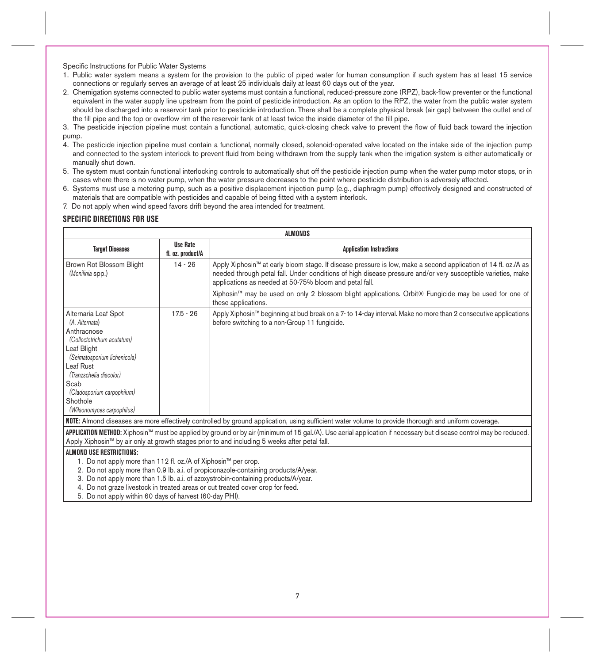Specific Instructions for Public Water Systems

- 1. Public water system means a system for the provision to the public of piped water for human consumption if such system has at least 15 service connections or regularly serves an average of at least 25 individuals daily at least 60 days out of the year.
- 2. Chemigation systems connected to public water systems must contain a functional, reduced-pressure zone (RPZ), back-flow preventer or the functional equivalent in the water supply line upstream from the point of pesticide introduction. As an option to the RPZ, the water from the public water system should be discharged into a reservoir tank prior to pesticide introduction. There shall be a complete physical break (air gap) between the outlet end of the fill pipe and the top or overflow rim of the reservoir tank of at least twice the inside diameter of the fill pipe.

3. The pesticide injection pipeline must contain a functional, automatic, quick-closing check valve to prevent the flow of fluid back toward the injection pump.

- 4. The pesticide injection pipeline must contain a functional, normally closed, solenoid-operated valve located on the intake side of the injection pump and connected to the system interlock to prevent fluid from being withdrawn from the supply tank when the irrigation system is either automatically or manually shut down.
- 5. The system must contain functional interlocking controls to automatically shut off the pesticide injection pump when the water pump motor stops, or in cases where there is no water pump, when the water pressure decreases to the point where pesticide distribution is adversely affected.
- 6. Systems must use a metering pump, such as a positive displacement injection pump (e.g., diaphragm pump) effectively designed and constructed of materials that are compatible with pesticides and capable of being fitted with a system interlock.
- 7. Do not apply when wind speed favors drift beyond the area intended for treatment.

# **SPECIFIC DIRECTIONS FOR USE**

| ALMONDS                                                                                                                                                                                                                                                                                                                          |                                                                                    |                                                                                                                                                                                                                                                                                          |  |
|----------------------------------------------------------------------------------------------------------------------------------------------------------------------------------------------------------------------------------------------------------------------------------------------------------------------------------|------------------------------------------------------------------------------------|------------------------------------------------------------------------------------------------------------------------------------------------------------------------------------------------------------------------------------------------------------------------------------------|--|
| <b>Target Diseases</b>                                                                                                                                                                                                                                                                                                           | <b>Use Rate</b><br>fl. oz. product/A                                               | <b>Application Instructions</b>                                                                                                                                                                                                                                                          |  |
| Brown Rot Blossom Blight<br>(Monilinia spp.)                                                                                                                                                                                                                                                                                     | $14 - 26$                                                                          | Apply Xiphosin™ at early bloom stage. If disease pressure is low, make a second application of 14 fl. oz./A as<br>needed through petal fall. Under conditions of high disease pressure and/or very susceptible varieties, make<br>applications as needed at 50-75% bloom and petal fall. |  |
|                                                                                                                                                                                                                                                                                                                                  |                                                                                    | Xiphosin™ may be used on only 2 blossom blight applications. Orbit® Fungicide may be used for one of<br>these applications.                                                                                                                                                              |  |
| Alternaria Leaf Spot<br>(A. Alternata)<br>Anthracnose<br>(Collectotrichum acutatum)<br>Leaf Blight<br>(Seimatosporium lichenicola)<br>Leaf Rust<br>(Tranzschelia discolor)<br>Scab<br>(Cladosporium carpophilum)<br>Shothole<br>(Wilsonomyces carpophilus)                                                                       | $17.5 - 26$                                                                        | Apply Xiphosin™ beginning at bud break on a 7- to 14-day interval. Make no more than 2 consecutive applications<br>before switching to a non-Group 11 fungicide.                                                                                                                         |  |
| NOTE: Almond diseases are more effectively controlled by ground application, using sufficient water volume to provide thorough and uniform coverage.<br><b>APPLICATION METHOD:</b> Xiphosin™ must be applied by ground or by air (minimum of 15 gal./A). Use aerial application if necessary but disease control may be reduced. |                                                                                    |                                                                                                                                                                                                                                                                                          |  |
|                                                                                                                                                                                                                                                                                                                                  |                                                                                    | Apply Xiphosin™ by air only at growth stages prior to and including 5 weeks after petal fall.                                                                                                                                                                                            |  |
| ALMOND USE RESTRICTIONS:                                                                                                                                                                                                                                                                                                         |                                                                                    |                                                                                                                                                                                                                                                                                          |  |
| 1. Do not apply more than 112 fl. oz./A of Xiphosin™ per crop.<br>2. Do not apply more than 0.9 lb. a.i. of propiconazole-containing products/A/year.                                                                                                                                                                            |                                                                                    |                                                                                                                                                                                                                                                                                          |  |
|                                                                                                                                                                                                                                                                                                                                  | 3. Do not apply more than 1.5 lb. a.i. of azoxystrobin-containing products/A/year. |                                                                                                                                                                                                                                                                                          |  |
| 4. Do not graze livestock in treated areas or cut treated cover crop for feed.                                                                                                                                                                                                                                                   |                                                                                    |                                                                                                                                                                                                                                                                                          |  |
|                                                                                                                                                                                                                                                                                                                                  |                                                                                    |                                                                                                                                                                                                                                                                                          |  |

5. Do not apply within 60 days of harvest (60-day PHI).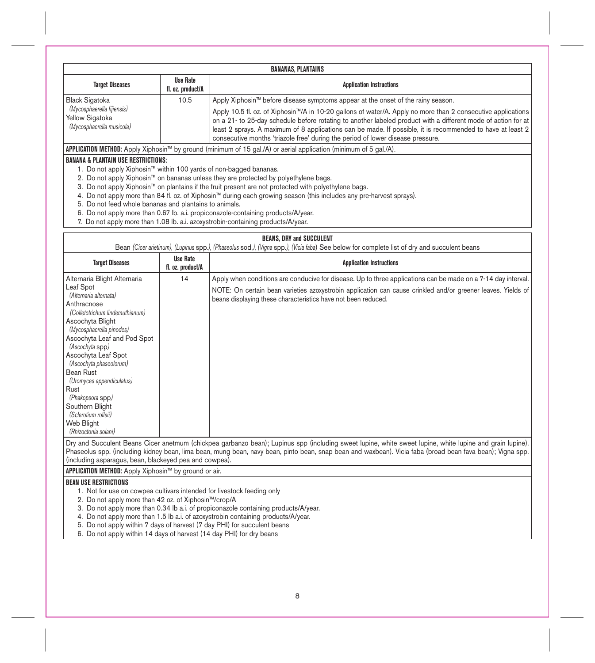| <b>BANANAS, PLANTAINS</b>                                                                                            |                                                                                                                          |                                                                                                                                                                                                                                                                                                                                                                                                                                |  |
|----------------------------------------------------------------------------------------------------------------------|--------------------------------------------------------------------------------------------------------------------------|--------------------------------------------------------------------------------------------------------------------------------------------------------------------------------------------------------------------------------------------------------------------------------------------------------------------------------------------------------------------------------------------------------------------------------|--|
| <b>Target Diseases</b>                                                                                               | Use Rate<br>fl. oz. product/A                                                                                            | <b>Application Instructions</b>                                                                                                                                                                                                                                                                                                                                                                                                |  |
| <b>Black Sigatoka</b>                                                                                                | 10.5                                                                                                                     | Apply Xiphosin™ before disease symptoms appear at the onset of the rainy season.                                                                                                                                                                                                                                                                                                                                               |  |
| (Mycosphaerella fijiensis)<br>Yellow Sigatoka<br>(Mycosphaerella musicola)                                           |                                                                                                                          | Apply 10.5 fl. oz. of Xiphosin™/A in 10-20 gallons of water/A. Apply no more than 2 consecutive applications<br>on a 21- to 25-day schedule before rotating to another labeled product with a different mode of action for at<br>least 2 sprays. A maximum of 8 applications can be made. If possible, it is recommended to have at least 2<br>consecutive months 'triazole free' during the period of lower disease pressure. |  |
|                                                                                                                      | <b>APPLICATION METHOD:</b> Apply Xiphosin™ by ground (minimum of 15 gal./A) or aerial application (minimum of 5 gal./A). |                                                                                                                                                                                                                                                                                                                                                                                                                                |  |
| <b>BANANA &amp; PLANTAIN USE RESTRICTIONS:</b>                                                                       |                                                                                                                          |                                                                                                                                                                                                                                                                                                                                                                                                                                |  |
| 1. Do not apply Xiphosin™ within 100 yards of non-bagged bananas.                                                    |                                                                                                                          |                                                                                                                                                                                                                                                                                                                                                                                                                                |  |
| 2. Do not apply Xiphosin™ on bananas unless they are protected by polyethylene bags.                                 |                                                                                                                          |                                                                                                                                                                                                                                                                                                                                                                                                                                |  |
| 3. Do not apply Xiphosin™ on plantains if the fruit present are not protected with polyethylene bags.                |                                                                                                                          |                                                                                                                                                                                                                                                                                                                                                                                                                                |  |
| 4. Do not apply more than 84 fl. oz. of Xiphosin™ during each growing season (this includes any pre-harvest sprays). |                                                                                                                          |                                                                                                                                                                                                                                                                                                                                                                                                                                |  |
| 5. Do not feed whole bananas and plantains to animals.                                                               |                                                                                                                          |                                                                                                                                                                                                                                                                                                                                                                                                                                |  |
| 6. Do not apply more than 0.67 lb. a.i. propiconazole-containing products/A/year.                                    |                                                                                                                          |                                                                                                                                                                                                                                                                                                                                                                                                                                |  |
| 7. Do not apply more than 1.08 lb. a.i. azoxystrobin-containing products/A/year.                                     |                                                                                                                          |                                                                                                                                                                                                                                                                                                                                                                                                                                |  |

| <b>BEANS, DRY and SUCCULENT</b><br>Bean (Cicer arietinum), (Lupinus spp.), (Phaseolus sod.), (Vigna spp.), (Vicia faba) See below for complete list of dry and succulent beans                                                                                                                                                                                                                                                                                                                 |                   |                                                                                                                                                                                                                                                                                                                       |
|------------------------------------------------------------------------------------------------------------------------------------------------------------------------------------------------------------------------------------------------------------------------------------------------------------------------------------------------------------------------------------------------------------------------------------------------------------------------------------------------|-------------------|-----------------------------------------------------------------------------------------------------------------------------------------------------------------------------------------------------------------------------------------------------------------------------------------------------------------------|
| <b>Target Diseases</b>                                                                                                                                                                                                                                                                                                                                                                                                                                                                         | <b>Use Rate</b>   | <b>Application Instructions</b>                                                                                                                                                                                                                                                                                       |
|                                                                                                                                                                                                                                                                                                                                                                                                                                                                                                | fl. oz. product/A |                                                                                                                                                                                                                                                                                                                       |
| Alternaria Blight Alternaria<br>Leaf Spot<br>(Alternaria alternata)<br>Anthracnose<br>(Colletotrichum lindemuthianum)<br>Ascochyta Blight<br>(Mycosphaerella pinodes)<br>Ascochyta Leaf and Pod Spot<br>(Ascochyta spp)<br>Ascochyta Leaf Spot<br>(Ascochyta phaseolorum)<br>Bean Rust<br>(Uromyces appendiculatus)<br>Rust<br>(Phakopsora spp)<br>Southern Blight<br>(Sclerotium rolfsii)<br>Web Blight<br>(Rhizoctonia solani)                                                               | 14                | Apply when conditions are conducive for disease. Up to three applications can be made on a 7-14 day interval.<br>NOTE: On certain bean varieties azoxystrobin application can cause crinkled and/or greener leaves. Yields of<br>beans displaying these characteristics have not been reduced.                        |
| (including asparagus, bean, blackeyed pea and cowpea).                                                                                                                                                                                                                                                                                                                                                                                                                                         |                   | Dry and Succulent Beans Cicer anetmum (chickpea garbanzo bean); Lupinus spp (including sweet lupine, white sweet lupine, white lupine and grain lupine).<br>Phaseolus spp. (including kidney bean, lima bean, mung bean, navy bean, pinto bean, snap bean and waxbean). Vicia faba (broad bean fava bean); Vigna spp. |
| APPLICATION METHOD: Apply Xiphosin™ by ground or air.                                                                                                                                                                                                                                                                                                                                                                                                                                          |                   |                                                                                                                                                                                                                                                                                                                       |
| <b>BEAN USE RESTRICTIONS</b><br>1. Not for use on cowpea cultivars intended for livestock feeding only<br>2. Do not apply more than 42 oz. of Xiphosin™/crop/A<br>3. Do not apply more than 0.34 lb a.i. of propiconazole containing products/A/year.<br>4. Do not apply more than 1.5 lb a.i. of azoxystrobin containing products/A/year.<br>5. Do not apply within 7 days of harvest (7 day PHI) for succulent beans<br>6. Do not apply within 14 days of harvest (14 day PHI) for dry beans |                   |                                                                                                                                                                                                                                                                                                                       |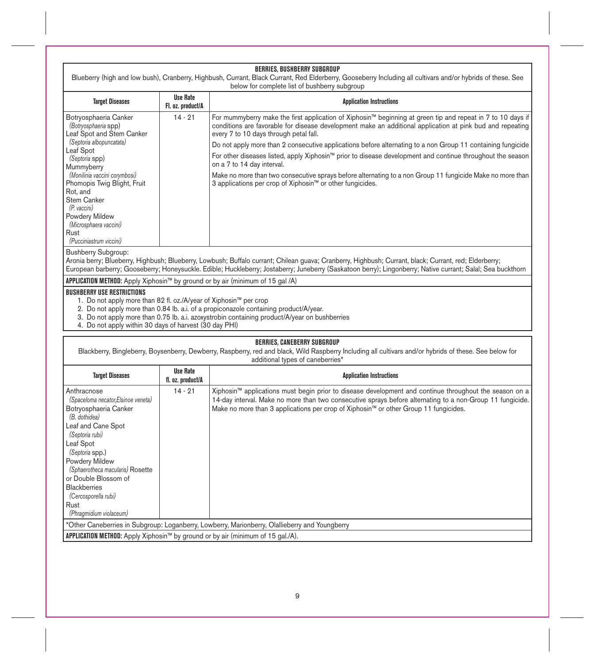|                                                                                                                                                                                                                                                                                                                                               |                                      | BERRIES, BUSHBERRY SUBGROUP<br>Blueberry (high and low bush), Cranberry, Highbush, Currant, Black Currant, Red Elderberry, Gooseberry Including all cultivars and/or hybrids of these. See<br>below for complete list of bushberry subgroup                                                                                                                                                                                                                                                                                                                                                                                                                                                             |
|-----------------------------------------------------------------------------------------------------------------------------------------------------------------------------------------------------------------------------------------------------------------------------------------------------------------------------------------------|--------------------------------------|---------------------------------------------------------------------------------------------------------------------------------------------------------------------------------------------------------------------------------------------------------------------------------------------------------------------------------------------------------------------------------------------------------------------------------------------------------------------------------------------------------------------------------------------------------------------------------------------------------------------------------------------------------------------------------------------------------|
| <b>Target Diseases</b>                                                                                                                                                                                                                                                                                                                        | <b>Use Rate</b><br>Fl. oz. product/A | <b>Application Instructions</b>                                                                                                                                                                                                                                                                                                                                                                                                                                                                                                                                                                                                                                                                         |
| Botryosphaeria Canker<br>(Botryosphaeria spp)<br>Leaf Spot and Stem Canker<br>(Septoria albopuncatata)<br>Leaf Spot<br>(Septoria spp)<br>Mummyberry<br>(Monilinia vaccini corymbosi)<br>Phomopis Twig Blight, Fruit<br>Rot, and<br>Stem Canker<br>(P. vaccini)<br>Powdery Mildew<br>(Microsphaera vaccini)<br>Rust<br>(Pucciniastrum viccini) | $14 - 21$                            | For mummyberry make the first application of Xiphosin™ beginning at green tip and repeat in 7 to 10 days if<br>conditions are favorable for disease development make an additional application at pink bud and repeating<br>every 7 to 10 days through petal fall.<br>Do not apply more than 2 consecutive applications before alternating to a non Group 11 containing fungicide<br>For other diseases listed, apply Xiphosin™ prior to disease development and continue throughout the season<br>on a 7 to 14 day interval.<br>Make no more than two consecutive sprays before alternating to a non Group 11 fungicide Make no more than<br>3 applications per crop of Xiphosin™ or other fungicides. |
| Bushberry Subgroup:<br>APPLICATION METHOD: Apply Xiphosin™ by ground or by air (minimum of 15 gal /A)                                                                                                                                                                                                                                         |                                      | Aronia berry; Blueberry, Highbush; Blueberry, Lowbush; Buffalo currant; Chilean guava; Cranberry, Highbush; Currant, black; Currant, red; Elderberry;<br>European barberry; Gooseberry; Honeysuckle. Edible; Huckleberry; Jostaberry; Juneberry (Saskatoon berry); Lingonberry; Native currant; Salal; Sea buckthorn                                                                                                                                                                                                                                                                                                                                                                                    |
| <b>BUSHBERRY USE RESTRICTIONS</b><br>1. Do not apply more than 82 fl. oz./A/year of Xiphosin™ per crop<br>4. Do not apply within 30 days of harvest (30 day PHI)                                                                                                                                                                              |                                      | 2. Do not apply more than 0.84 lb. a.i. of a propiconazole containing product/A/year.<br>3. Do not apply more than 0.75 lb. a.i. azoxystrobin containing product/A/year on bushberries                                                                                                                                                                                                                                                                                                                                                                                                                                                                                                                  |
|                                                                                                                                                                                                                                                                                                                                               |                                      | <b>BERRIES, CANEBERRY SUBGROUP</b><br>Blackberry, Bingleberry, Boysenberry, Dewberry, Raspberry, red and black, Wild Raspberry Including all cultivars and/or hybrids of these. See below for<br>additional types of caneberries*                                                                                                                                                                                                                                                                                                                                                                                                                                                                       |
| <b>Target Diseases</b>                                                                                                                                                                                                                                                                                                                        | <b>Use Rate</b><br>fl. oz. product/A | <b>Application Instructions</b>                                                                                                                                                                                                                                                                                                                                                                                                                                                                                                                                                                                                                                                                         |
| Anthracnose<br>(Spaceloma necator, Elsinoe veneta)<br>Botryosphaeria Canker<br>(B. dothidea)<br>Leaf and Cane Spot<br>(Septoria rubi)<br>Leaf Spot<br>(Septoria spp.)<br>Powdery Mildew<br>(Sphaerotheca macularis) Rosette<br>or Double Blossom of<br><b>Blackberries</b><br>(Cercosporella rubi)<br>Rust<br>(Phragmidium violaceum)         | $14 - 21$                            | Xiphosin™ applications must begin prior to disease development and continue throughout the season on a<br>14-day interval. Make no more than two consecutive sprays before alternating to a non-Group 11 fungicide.<br>Make no more than 3 applications per crop of Xiphosin™ or other Group 11 fungicides.                                                                                                                                                                                                                                                                                                                                                                                             |
|                                                                                                                                                                                                                                                                                                                                               |                                      |                                                                                                                                                                                                                                                                                                                                                                                                                                                                                                                                                                                                                                                                                                         |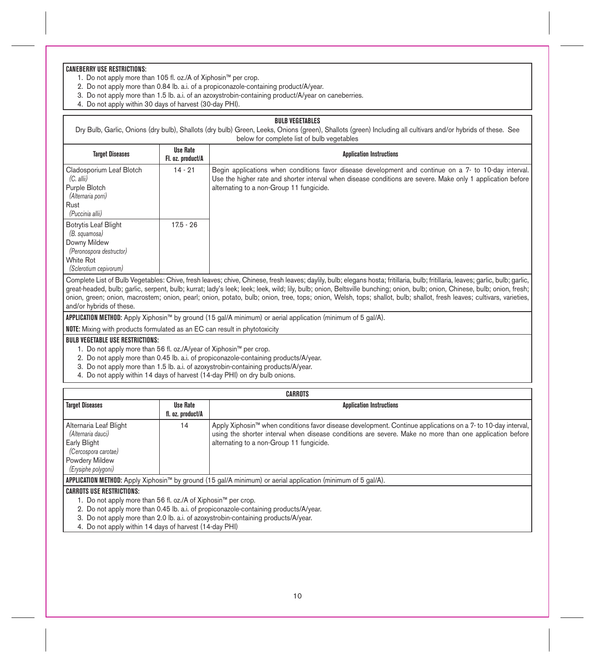# **CANEBERRY USE RESTRICTIONS:**

- 1.Do not apply more than 105 fl. oz./A of Xiphosin™ per crop.
- 2. Do not apply more than 0.84 lb. a.i. of a propiconazole-containing product/A/year.
- 3. Do not apply more than 1.5 lb. a.i. of an azoxystrobin-containing product/A/year on caneberries.
- 4. Do not apply within 30 days of harvest (30-day PHI).

### **BULB VEGETABLES**

Dry Bulb, Garlic, Onions (dry bulb), Shallots (dry bulb) Green, Leeks, Onions (green), Shallots (green) Including all cultivars and/or hybrids of these. See below for complete list of bulb vegetables

| <b>Target Diseases</b>                                                                                      | <b>Use Rate</b><br>Fl. oz. product/A | <b>Application Instructions</b>                                                                                                                                                                                                                                  |
|-------------------------------------------------------------------------------------------------------------|--------------------------------------|------------------------------------------------------------------------------------------------------------------------------------------------------------------------------------------------------------------------------------------------------------------|
| Cladosporium Leaf Blotch<br>$(C.$ allii)<br>Purple Blotch<br>(Alternaria porri)<br>Rust<br>(Puccinia allii) | $14 - 21$                            | Begin applications when conditions favor disease development and continue on a 7- to 10-day interval.<br>Use the higher rate and shorter interval when disease conditions are severe. Make only 1 application before<br>alternating to a non-Group 11 fungicide. |
| Botrytis Leaf Blight<br>(B. squamosa)<br>Downy Mildew<br>(Peronospora destructor)                           | $17.5 - 26$                          |                                                                                                                                                                                                                                                                  |
| White Rot<br>(Sclerotium cepivorum)                                                                         |                                      |                                                                                                                                                                                                                                                                  |

Complete List of Bulb Vegetables: Chive, fresh leaves; chive, Chinese, fresh leaves; daylily, bulb; elegans hosta; fritillaria, bulb; fritillaria, leaves; garlic, bulb; garlic, great-headed, bulb; garlic, serpent, bulb; kurrat; lady's leek; leek; leek, wild; lily, bulb; onion, Beltsville bunching; onion, bulb; onion, Chinese, bulb; onion, fresh; onion, green; onion, macrostem; onion, pearl; onion, potato, bulb; onion, tree, tops; onion, Welsh, tops; shallot, bulb; shallot, fresh leaves; cultivars, varieties, and/or hybrids of these.

**APPLICATION METHOD:** Apply Xiphosin™ by ground (15 gal/A minimum) or aerial application (minimum of 5 gal/A).

**NOTE:** Mixing with products formulated as an EC can result in phytotoxicity

# **BULB VEGETABLE USE RESTRICTIONS:**

- 1. Do not apply more than 56 fl. oz./A/year of Xiphosin™ per crop.
- 2. Do not apply more than 0.45 lb. a.i. of propiconazole-containing products/A/year.
- 3. Do not apply more than 1.5 lb. a.i. of azoxystrobin-containing products/A/year.
- 4. Do not apply within 14 days of harvest (14-day PHI) on dry bulb onions.

| CARROTS                                                                              |                   |                                                                                                                         |
|--------------------------------------------------------------------------------------|-------------------|-------------------------------------------------------------------------------------------------------------------------|
| <b>Target Diseases</b>                                                               | Use Rate          | <b>Application Instructions</b>                                                                                         |
|                                                                                      | fl. oz. product/A |                                                                                                                         |
| Alternaria Leaf Blight                                                               | 14                | Apply Xiphosin <sup>™</sup> when conditions favor disease development. Continue applications on a 7-to 10-day interval, |
| (Alternaria dauci)                                                                   |                   | using the shorter interval when disease conditions are severe. Make no more than one application before                 |
| Early Blight                                                                         |                   | alternating to a non-Group 11 fungicide.                                                                                |
| (Cercospora carotae)                                                                 |                   |                                                                                                                         |
| Powdery Mildew                                                                       |                   |                                                                                                                         |
| (Erysiphe polygoni)                                                                  |                   |                                                                                                                         |
|                                                                                      |                   | <b>APPLICATION METHOD:</b> Apply Xiphosin™ by ground (15 gal/A minimum) or aerial application (minimum of 5 gal/A).     |
| <b>CARROTS USE RESTRICTIONS:</b>                                                     |                   |                                                                                                                         |
| 1. Do not apply more than 56 fl. oz./A of Xiphosin™ per crop.                        |                   |                                                                                                                         |
| 2. Do not apply more than 0.45 lb. a.i. of propiconazole-containing products/A/year. |                   |                                                                                                                         |
| 3. Do not apply more than 2.0 lb. a.i. of azoxystrobin-containing products/A/year.   |                   |                                                                                                                         |

4. Do not apply within 14 days of harvest (14-day PHI)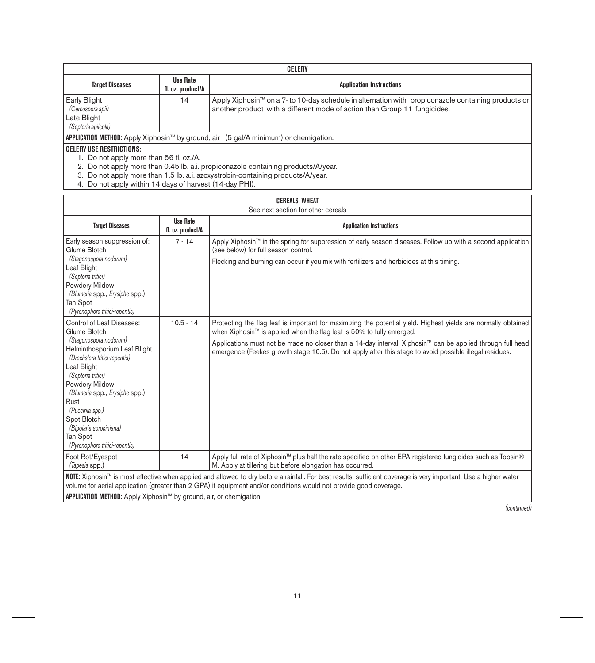| CELERY                                                                               |                               |                                                                                                                                                                                  |
|--------------------------------------------------------------------------------------|-------------------------------|----------------------------------------------------------------------------------------------------------------------------------------------------------------------------------|
| <b>Target Diseases</b>                                                               | Use Rate<br>fl. oz. product/A | <b>Application Instructions</b>                                                                                                                                                  |
| Early Blight<br>(Cercospora apii)<br>Late Blight<br>(Septoria apiicola)              | 14                            | Apply Xiphosin™ on a 7- to 10-day schedule in alternation with propiconazole containing products or<br>another product with a different mode of action than Group 11 fungicides. |
| APPLICATION METHOD: Apply Xiphosin™ by ground, air (5 gal/A minimum) or chemigation. |                               |                                                                                                                                                                                  |
| <b>CELERY USE RESTRICTIONS:</b>                                                      |                               |                                                                                                                                                                                  |

1. Do not apply more than 56 fl. oz./A.

2. Do not apply more than 0.45 lb. a.i. propiconazole containing products/A/year.<br>3. Do not apply more than 1.5 lb. a.i. azoxystrobin-containing products/A/year.<br>4. Do not apply within 14 days of harvest (14-day PHI).

# **CEREALS, WHEAT**

| See next section for other cereals                                                                                                                                                                                                                                                                                                                    |                                      |                                                                                                                                                                                                                                                                                                                                                                                                                                                                                                                                                                                                                                                                      |
|-------------------------------------------------------------------------------------------------------------------------------------------------------------------------------------------------------------------------------------------------------------------------------------------------------------------------------------------------------|--------------------------------------|----------------------------------------------------------------------------------------------------------------------------------------------------------------------------------------------------------------------------------------------------------------------------------------------------------------------------------------------------------------------------------------------------------------------------------------------------------------------------------------------------------------------------------------------------------------------------------------------------------------------------------------------------------------------|
| <b>Target Diseases</b>                                                                                                                                                                                                                                                                                                                                | <b>Use Rate</b><br>fl. oz. product/A | <b>Application Instructions</b>                                                                                                                                                                                                                                                                                                                                                                                                                                                                                                                                                                                                                                      |
| Early season suppression of:<br>Glume Blotch<br>(Stagonospora nodorum)<br>Leaf Blight<br>(Septoria tritici)<br>Powdery Mildew<br>(Blumeria spp., Erysiphe spp.)<br>Tan Spot<br>(Pyrenophora tritici-repentis)<br>Control of Leaf Diseases:<br>Glume Blotch<br>(Stagonospora nodorum)<br>Helminthosporium Leaf Blight<br>(Drechslera tritici-repentis) | $7 - 14$<br>$10.5 - 14$              | Apply Xiphosin™ in the spring for suppression of early season diseases. Follow up with a second application<br>(see below) for full season control.<br>Flecking and burning can occur if you mix with fertilizers and herbicides at this timing.<br>Protecting the flag leaf is important for maximizing the potential yield. Highest yields are normally obtained<br>when Xiphosin™ is applied when the flag leaf is 50% to fully emerged.<br>Applications must not be made no closer than a 14-day interval. Xiphosin™ can be applied through full head<br>emergence (Feekes growth stage 10.5). Do not apply after this stage to avoid possible illegal residues. |
| Leaf Blight<br>(Septoria tritici)<br>Powdery Mildew<br>(Blumeria spp., Erysiphe spp.)<br>Rust<br>(Puccinia spp.)<br>Spot Blotch<br>(Bipolaris sorokiniana)<br>Tan Spot<br>(Pyrenophora tritici-repentis)                                                                                                                                              |                                      |                                                                                                                                                                                                                                                                                                                                                                                                                                                                                                                                                                                                                                                                      |
| Foot Rot/Eyespot<br>(Tapesia spp.)                                                                                                                                                                                                                                                                                                                    | 14                                   | Apply full rate of Xiphosin™ plus half the rate specified on other EPA-registered fungicides such as Topsin®<br>M. Apply at tillering but before elongation has occurred.                                                                                                                                                                                                                                                                                                                                                                                                                                                                                            |
|                                                                                                                                                                                                                                                                                                                                                       |                                      | NOTE: Xiphosin™ is most effective when applied and allowed to dry before a rainfall. For best results, sufficient coverage is very important. Use a higher water<br>volume for aerial application (greater than 2 GPA) if equipment and/or conditions would not provide good coverage.                                                                                                                                                                                                                                                                                                                                                                               |
| APPLICATION METHOD: Apply Xiphosin™ by ground, air, or chemigation.                                                                                                                                                                                                                                                                                   |                                      |                                                                                                                                                                                                                                                                                                                                                                                                                                                                                                                                                                                                                                                                      |

*(continued)*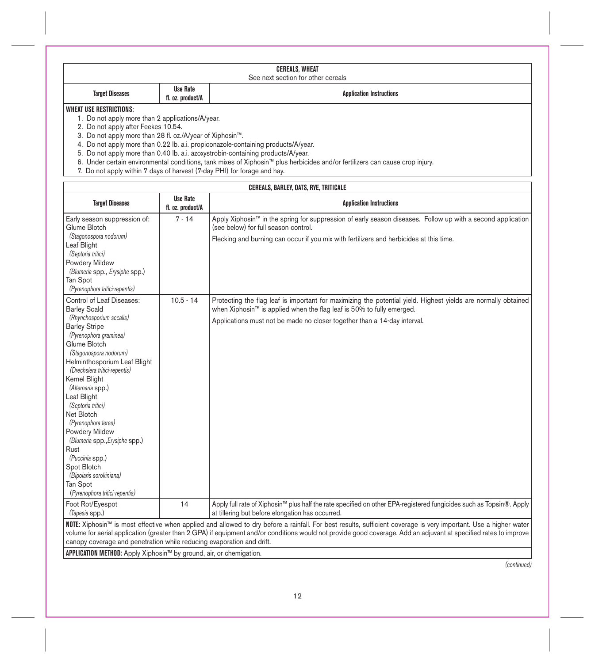| CEREALS, WHEAT                     |                                      |                                 |
|------------------------------------|--------------------------------------|---------------------------------|
| See next section for other cereals |                                      |                                 |
| <b>Target Diseases</b>             | <b>Use Rate</b><br>fl. oz. product/A | <b>Application Instructions</b> |

# **WHEAT USE RESTRICTIONS:**

1. Do not apply more than 2 applications/A/year.

2. Do not apply after Feekes 10.54.

3. Do not apply more than 28 fl. oz./A/year of Xiphosin™.

4. Do not apply more than 0.22 lb. a.i. propiconazole-containing products/A/year.

5. Do not apply more than 0.40 lb. a.i. azoxystrobin-containing products/A/year.

6. Under certain environmental conditions, tank mixes of Xiphosin™ plus herbicides and/or fertilizers can cause crop injury.

7. Do not apply within 7 days of harvest (7-day PHI) for forage and hay.

| CEREALS, BARLEY, OATS, RYE, TRITICALE                                                                                                                            |                                      |                                                                                                                                                                                                     |
|------------------------------------------------------------------------------------------------------------------------------------------------------------------|--------------------------------------|-----------------------------------------------------------------------------------------------------------------------------------------------------------------------------------------------------|
| <b>Target Diseases</b>                                                                                                                                           | <b>Use Rate</b><br>fl. oz. product/A | <b>Application Instructions</b>                                                                                                                                                                     |
| Early season suppression of:<br>Glume Blotch                                                                                                                     | $7 - 14$                             | Apply Xiphosin™ in the spring for suppression of early season diseases. Follow up with a second application<br>(see below) for full season control.                                                 |
| (Stagonospora nodorum)<br>Leaf Blight                                                                                                                            |                                      | Flecking and burning can occur if you mix with fertilizers and herbicides at this time.                                                                                                             |
| (Septoria tritici)                                                                                                                                               |                                      |                                                                                                                                                                                                     |
| Powdery Mildew                                                                                                                                                   |                                      |                                                                                                                                                                                                     |
| (Blumeria spp., Erysiphe spp.)                                                                                                                                   |                                      |                                                                                                                                                                                                     |
| Tan Spot                                                                                                                                                         |                                      |                                                                                                                                                                                                     |
| (Pyrenophora tritici-repentis)                                                                                                                                   |                                      |                                                                                                                                                                                                     |
| Control of Leaf Diseases:<br><b>Barley Scald</b>                                                                                                                 | $10.5 - 14$                          | Protecting the flag leaf is important for maximizing the potential yield. Highest yields are normally obtained<br>when Xiphosin <sup>™</sup> is applied when the flag leaf is 50% to fully emerged. |
| (Rhynchosporium secalis)                                                                                                                                         |                                      | Applications must not be made no closer together than a 14-day interval.                                                                                                                            |
| <b>Barley Stripe</b>                                                                                                                                             |                                      |                                                                                                                                                                                                     |
| (Pyrenophora graminea)                                                                                                                                           |                                      |                                                                                                                                                                                                     |
| Glume Blotch<br>(Stagonospora nodorum)                                                                                                                           |                                      |                                                                                                                                                                                                     |
| Helminthosporium Leaf Blight                                                                                                                                     |                                      |                                                                                                                                                                                                     |
| (Drechslera tritici-repentis)                                                                                                                                    |                                      |                                                                                                                                                                                                     |
| Kernel Blight                                                                                                                                                    |                                      |                                                                                                                                                                                                     |
| (Alternaria spp.)                                                                                                                                                |                                      |                                                                                                                                                                                                     |
| Leaf Blight                                                                                                                                                      |                                      |                                                                                                                                                                                                     |
| (Septoria tritici)                                                                                                                                               |                                      |                                                                                                                                                                                                     |
| Net Blotch                                                                                                                                                       |                                      |                                                                                                                                                                                                     |
| (Pyrenophora teres)                                                                                                                                              |                                      |                                                                                                                                                                                                     |
| Powdery Mildew                                                                                                                                                   |                                      |                                                                                                                                                                                                     |
| (Blumeria spp., Erysiphe spp.)<br>Rust                                                                                                                           |                                      |                                                                                                                                                                                                     |
| (Puccinia spp.)                                                                                                                                                  |                                      |                                                                                                                                                                                                     |
| Spot Blotch                                                                                                                                                      |                                      |                                                                                                                                                                                                     |
| (Bipolaris sorokiniana)                                                                                                                                          |                                      |                                                                                                                                                                                                     |
| Tan Spot                                                                                                                                                         |                                      |                                                                                                                                                                                                     |
| (Pyrenophora tritici-repentis)                                                                                                                                   |                                      |                                                                                                                                                                                                     |
| Foot Rot/Eyespot                                                                                                                                                 | 14                                   | Apply full rate of Xiphosin™ plus half the rate specified on other EPA-registered fungicides such as Topsin®. Apply                                                                                 |
| (Tapesia spp.)                                                                                                                                                   |                                      | at tillering but before elongation has occurred.                                                                                                                                                    |
|                                                                                                                                                                  |                                      | NOTE: Xiphosin™ is most effective when applied and allowed to dry before a rainfall. For best results, sufficient coverage is very important. Use a higher water                                    |
| volume for aerial application (greater than 2 GPA) if equipment and/or conditions would not provide good coverage. Add an adjuvant at specified rates to improve |                                      |                                                                                                                                                                                                     |
| canopy coverage and penetration while reducing evaporation and drift.                                                                                            |                                      |                                                                                                                                                                                                     |
| APPLICATION METHOD: Apply Xiphosin™ by ground, air, or chemigation.                                                                                              |                                      |                                                                                                                                                                                                     |

*(continued)*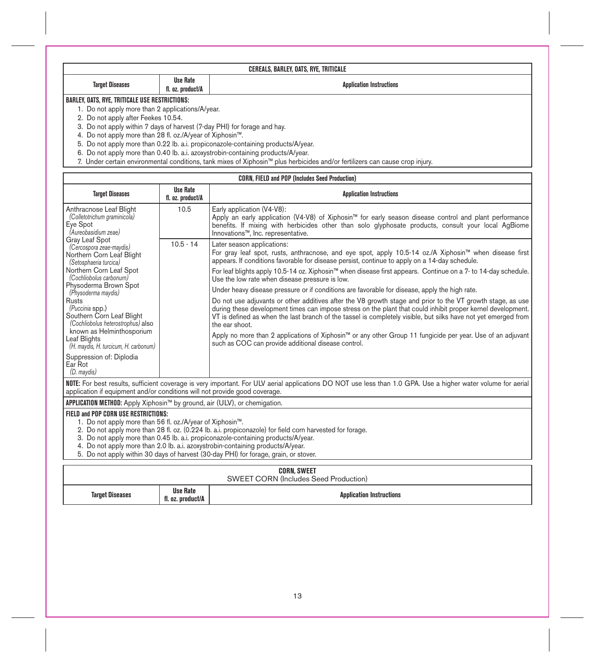| CEREALS, BARLEY, OATS, RYE, TRITICALE            |                                                                         |  |  |
|--------------------------------------------------|-------------------------------------------------------------------------|--|--|
| <b>Target Diseases</b>                           | <b>Use Rate</b><br><b>Application Instructions</b><br>fl. oz. product/A |  |  |
| BARLEY, OATS, RYE, TRITICALE USE RESTRICTIONS:   |                                                                         |  |  |
| 1. Do not apply more than 2 applications/A/year. |                                                                         |  |  |
| 2. Do not apply after Feekes 10.54.              |                                                                         |  |  |

2. Do not apply after Feekes 10.54.<br>3. Do not apply within 7 days of harvest (7-day PHI) for forage and hay.<br>4. Do not apply within 7 days of harvest (7-day PHI) for forage and hay.<br>5. Do not apply more than 0.22 lb. a.i.

| <b>CORN, FIELD and POP (Includes Seed Production)</b>                                                                                                                                                                                                                                                                                                                                                                                                                                                                              |                                      |                                                                                                                                                                                                                                                                                                                                                                                                                                                                                                                                                                                                                                                                                                                                                                                                                                                                                                                                                                                                                                                  |  |
|------------------------------------------------------------------------------------------------------------------------------------------------------------------------------------------------------------------------------------------------------------------------------------------------------------------------------------------------------------------------------------------------------------------------------------------------------------------------------------------------------------------------------------|--------------------------------------|--------------------------------------------------------------------------------------------------------------------------------------------------------------------------------------------------------------------------------------------------------------------------------------------------------------------------------------------------------------------------------------------------------------------------------------------------------------------------------------------------------------------------------------------------------------------------------------------------------------------------------------------------------------------------------------------------------------------------------------------------------------------------------------------------------------------------------------------------------------------------------------------------------------------------------------------------------------------------------------------------------------------------------------------------|--|
| <b>Target Diseases</b>                                                                                                                                                                                                                                                                                                                                                                                                                                                                                                             | <b>Use Rate</b><br>fl. oz. product/A | <b>Application Instructions</b>                                                                                                                                                                                                                                                                                                                                                                                                                                                                                                                                                                                                                                                                                                                                                                                                                                                                                                                                                                                                                  |  |
| Anthracnose Leaf Blight<br>(Colletotrichum graminicola)<br>Eye Spot<br>(Aureobasidium zeae)<br>Gray Leaf Spot<br>(Cercospora zeae-maydis)<br>Northern Corn Leaf Blight<br>(Setosphaeria turcica)<br>Northern Corn Leaf Spot<br>(Cochliobolus carbonum)<br>Physoderma Brown Spot<br>(Physoderma maydis)<br>Rusts<br>(Puccinia spp.)<br>Southern Corn Leaf Blight<br>(Cochliobolus heterostrophus) also<br>known as Helminthosporium<br>Leaf Blights<br>(H. maydis, H. turcicum, H. carbonum)<br>Suppression of: Diplodia<br>Ear Rot | 10.5                                 | Early application (V4-V8):<br>Apply an early application (V4-V8) of Xiphosin™ for early season disease control and plant performance<br>benefits. If mixing with herbicides other than solo glyphosate products, consult your local AgBiome<br>Innovations™. Inc. representative.                                                                                                                                                                                                                                                                                                                                                                                                                                                                                                                                                                                                                                                                                                                                                                |  |
|                                                                                                                                                                                                                                                                                                                                                                                                                                                                                                                                    | $10.5 - 14$                          | Later season applications:<br>For gray leaf spot, rusts, anthracnose, and eye spot, apply 10.5-14 oz./A Xiphosin™ when disease first<br>appears. If conditions favorable for disease persist, continue to apply on a 14-day schedule.<br>For leaf blights apply 10.5-14 oz. Xiphosin™ when disease first appears. Continue on a 7- to 14-day schedule.<br>Use the low rate when disease pressure is low.<br>Under heavy disease pressure or if conditions are favorable for disease, apply the high rate.<br>Do not use adjuvants or other additives after the V8 growth stage and prior to the VT growth stage, as use<br>during these development times can impose stress on the plant that could inhibit proper kernel development.<br>VT is defined as when the last branch of the tassel is completely visible, but silks have not yet emerged from<br>the ear shoot.<br>Apply no more than 2 applications of Xiphosin™ or any other Group 11 fungicide per year. Use of an adjuvant<br>such as COC can provide additional disease control. |  |
| (D. maydis)<br>NOTE: For best results, sufficient coverage is very important. For ULV aerial applications DO NOT use less than 1.0 GPA. Use a higher water volume for aerial<br>application if equipment and/or conditions will not provide good coverage.                                                                                                                                                                                                                                                                         |                                      |                                                                                                                                                                                                                                                                                                                                                                                                                                                                                                                                                                                                                                                                                                                                                                                                                                                                                                                                                                                                                                                  |  |
| APPLICATION METHOD: Apply Xiphosin™ by ground, air (ULV), or chemigation.                                                                                                                                                                                                                                                                                                                                                                                                                                                          |                                      |                                                                                                                                                                                                                                                                                                                                                                                                                                                                                                                                                                                                                                                                                                                                                                                                                                                                                                                                                                                                                                                  |  |
| FIELD and POP CORN USE RESTRICTIONS:<br>1. Do not apply more than 56 fl. oz./A/year of Xiphosin™.<br>2. Do not apply more than 28 fl. oz. (0.224 lb. a.i. propiconazole) for field corn harvested for forage.<br>3. Do not apply more than 0.45 lb. a.i. propiconazole-containing products/A/year.<br>4. Do not apply more than 2.0 lb. a.i. azoxystrobin-containing products/A/year.<br>5. Do not apply within 30 days of harvest (30-day PHI) for forage, grain, or stover.                                                      |                                      |                                                                                                                                                                                                                                                                                                                                                                                                                                                                                                                                                                                                                                                                                                                                                                                                                                                                                                                                                                                                                                                  |  |
| <b>CORN. SWEET</b><br><b>SWEET CORN (Includes Seed Production)</b>                                                                                                                                                                                                                                                                                                                                                                                                                                                                 |                                      |                                                                                                                                                                                                                                                                                                                                                                                                                                                                                                                                                                                                                                                                                                                                                                                                                                                                                                                                                                                                                                                  |  |

| <b>Target Diseases</b> | Use Rate<br>.product/A<br>$-1.07$ | <b>Application Instructions</b> |
|------------------------|-----------------------------------|---------------------------------|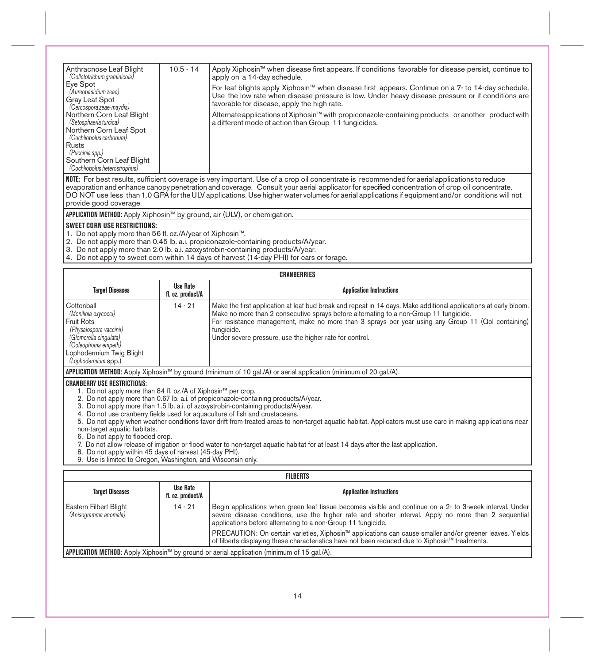| Anthracnose Leaf Blight<br>(Colletotrichum graminicola)<br>Eve Spot | $10.5 - 14$ | Apply Xiphosin™ when disease first appears. If conditions favorable for disease persist, continue to<br>apply on a 14-day schedule.                                                                                                                  |
|---------------------------------------------------------------------|-------------|------------------------------------------------------------------------------------------------------------------------------------------------------------------------------------------------------------------------------------------------------|
| (Aureobasidium zeae)<br>Gray Leaf Spot<br>(Cercospora zeae-maydis)  |             | For leaf blights apply Xiphosin™ when disease first appears. Continue on a 7- to 14-day schedule.<br>Use the low rate when disease pressure is low. Under heavy disease pressure or if conditions are<br>favorable for disease, apply the high rate. |
| Northern Corn Leaf Blight<br>(Setosphaeria turcica)                 |             | Alternate applications of Xiphosin™ with propiconazole-containing products or another product with<br>a different mode of action than Group 11 fungicides.                                                                                           |
| Northern Corn Leaf Spot<br>(Cochliobolus carbonum)                  |             |                                                                                                                                                                                                                                                      |
| Rusts<br>(Puccinia spp.)                                            |             |                                                                                                                                                                                                                                                      |
| Southern Corn Leaf Blight<br>(Cochliobolus heterostrophus)          |             |                                                                                                                                                                                                                                                      |

**NOTE:** For best results, sufficient coverage is very important. Use of a crop oil concentrate is recommended for aerial applications to reduce evaporation and enhance canopy penetration and coverage. Consult your aerial applicator for specified concentration of crop oil concentrate. DO NOT use less than 1.0 GPA for the ULV applications. Use higher water volumes for aerial applications if equipment and/or conditions will not provide good coverage.

**APPLICATION METHOD:** Apply Xiphosin™ by ground, air (ULV), or chemigation.

### **SWEET CORN USE RESTRICTIONS:**

1. Do not apply more than 56 fl. oz./A/year of Xiphosin™.

2. Do not apply more than 0.45 lb. a.i. propiconazole-containing products/A/year.

- 3. Do not apply more than 2.0 lb. a.i. azoxystrobin-containing products/A/year.
- 4. Do not apply to sweet corn within 14 days of harvest (14-day PHI) for ears or forage.

| <b>CRANBERRIES</b>                                                                                                                                                              |                               |                                                                                                                                                                                                                                                                                                                                                                                           |
|---------------------------------------------------------------------------------------------------------------------------------------------------------------------------------|-------------------------------|-------------------------------------------------------------------------------------------------------------------------------------------------------------------------------------------------------------------------------------------------------------------------------------------------------------------------------------------------------------------------------------------|
| <b>Target Diseases</b>                                                                                                                                                          | Use Rate<br>fl. oz. product/A | <b>Application Instructions</b>                                                                                                                                                                                                                                                                                                                                                           |
| Cottonball<br>(Monilinia oxycocci)<br>Fruit Rots<br>(Physalospora vaccinii)<br>(Glomerella cingulata)<br>(Coleophoma empeth)<br>Lophodermium Twig Blight<br>(Lophodermium spp.) | $14 - 21$                     | Make the first application at leaf bud break and repeat in 14 days. Make additional applications at early bloom.<br>Make no more than 2 consecutive sprays before alternating to a non-Group 11 fungicide.<br>For resistance management, make no more than 3 sprays per year using any Group 11 (Qol containing)<br>fungicide.<br>Under severe pressure, use the higher rate for control. |
| <b>APPLICATION METHOD:</b> Apply Xiphosin™ by ground (minimum of 10 gal./A) or aerial application (minimum of 20 gal./A).                                                       |                               |                                                                                                                                                                                                                                                                                                                                                                                           |

### **CRANBERRY USE RESTRICTIONS:**

1. Do not apply more than 84 fl. oz./A of Xiphosin™ per crop.

2. Do not apply more than 0.67 lb. a.i. of propiconazole-containing products/A/year.

3. Do not apply more than 1.5 lb. a.i. of azoxystrobin-containing products/A/year.

4. Do not use cranberry fields used for aquaculture of fish and crustaceans.

5. Do not apply when weather conditions favor drift from treated areas to non-target aquatic habitat. Applicators must use care in making applications near non-target aquatic habitats.

6. Do not apply to flooded crop.

7. Do not allow release of irrigation or flood water to non-target aquatic habitat for at least 14 days after the last application.

8. Do not apply within 45 days of harvest (45-day PHI). 9. Use is limited to Oregon, Washington, and Wisconsin only.

| <b>FILBERTS</b>                                                                             |                               |                                                                                                                                                                                                                                                                                  |
|---------------------------------------------------------------------------------------------|-------------------------------|----------------------------------------------------------------------------------------------------------------------------------------------------------------------------------------------------------------------------------------------------------------------------------|
| <b>Target Diseases</b>                                                                      | Use Rate<br>fl. oz. product/A | <b>Application Instructions</b>                                                                                                                                                                                                                                                  |
| Eastern Filbert Blight<br>(Anisogramma anomala)                                             | $14 - 21$                     | Begin applications when green leaf tissue becomes visible and continue on a 2- to 3-week interval. Under<br>severe disease conditions, use the higher rate and shorter interval. Apply no more than 2 sequential<br>applications before alternating to a non-Group 11 fungicide. |
|                                                                                             |                               | PRECAUTION: On certain varieties, Xiphosin™ applications can cause smaller and/or greener leaves. Yields<br>of filberts displaying these characteristics have not been reduced due to Xiphosin™ treatments.                                                                      |
| APPLICATION METHOD: Apply Xiphosin™ by ground or aerial application (minimum of 15 gal./A). |                               |                                                                                                                                                                                                                                                                                  |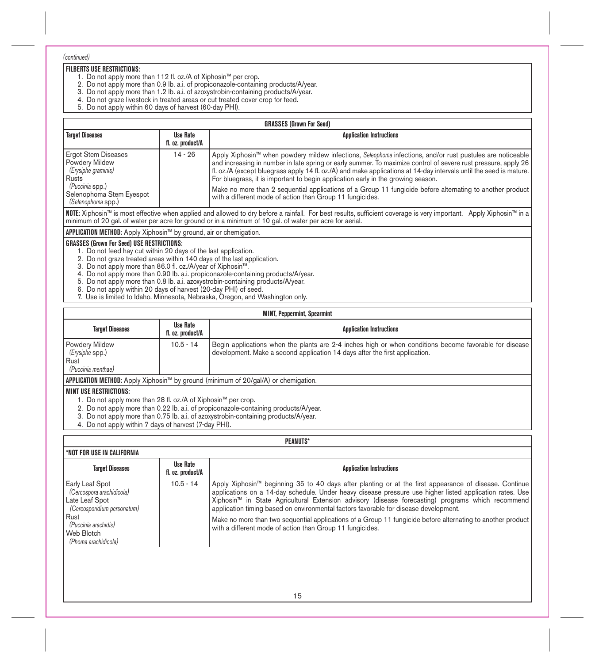### *(continued)*

### **FILBERTS USE RESTRICTIONS:**

- 1. Do not apply more than 112 fl. oz./A of Xiphosin™ per crop.
- 
- 2. Do not apply more than 0.9 lb. a.i. of propiconazole-containing products/A/year. 3. Do not apply more than 1.2 lb. a.i. of azoxystrobin-containing products/A/year.
- 4. Do not graze livestock in treated areas or cut treated cover crop for feed.
- 5. Do not apply within 60 days of harvest (60-day PHI).

| <b>GRASSES (Grown For Seed)</b>                                                                                                                     |                                      |                                                                                                                                                                                                                                                                                                                                                                                                                                                                                                                                                                                                                   |
|-----------------------------------------------------------------------------------------------------------------------------------------------------|--------------------------------------|-------------------------------------------------------------------------------------------------------------------------------------------------------------------------------------------------------------------------------------------------------------------------------------------------------------------------------------------------------------------------------------------------------------------------------------------------------------------------------------------------------------------------------------------------------------------------------------------------------------------|
| <b>Target Diseases</b>                                                                                                                              | <b>Use Rate</b><br>fl. oz. product/A | <b>Application Instructions</b>                                                                                                                                                                                                                                                                                                                                                                                                                                                                                                                                                                                   |
| <b>Ergot Stem Diseases</b><br>Powdery Mildew<br>(Erysiphe graminis)<br>l Rusts<br>(Puccinia spp.)<br>Selenophoma Stem Eyespot<br>(Selenophoma spp.) | $14 - 26$                            | Apply Xiphosin™ when powdery mildew infections, Seleophoma infections, and/or rust pustules are noticeable<br>and increasing in number in late spring or early summer. To maximize control of severe rust pressure, apply 26<br>fl. oz./A (except bluegrass apply 14 fl. oz./A) and make applications at 14-day intervals until the seed is mature.<br>For bluegrass, it is important to begin application early in the growing season.<br>Make no more than 2 sequential applications of a Group 11 fungicide before alternating to another product<br>with a different mode of action than Group 11 fungicides. |
|                                                                                                                                                     |                                      | NOTE: Xiphosin™ is most effective when applied and allowed to dry before a rainfall. For best results, sufficient coverage is very important. Apply Xiphosin™ in a<br>minimum of 20 gal. of water per acre for ground or in a minimum of 10 gal. of water per acre for aerial.                                                                                                                                                                                                                                                                                                                                    |

**APPLICATION METHOD:** Apply Xiphosin™ by ground, air or chemigation.

### **GRASSES (Grown For Seed) USE RESTRICTIONS:**

- 1. Do not feed hay cut within 20 days of the last application.
- 2. Do not graze treated areas within 140 days of the last application.
- 3. Do not apply more than 86.0 fl. oz./A/year of Xiphosin™.
- 4. Do not apply more than 0.90 lb. a.i. propiconazole-containing products/A/year.<br>5. Do not apply more than 0.8 lb. a.i. azoxystrobin-containing products/A/year.<br>6. Do not apply within 20 days of harvest (20-day PHI) of
- 
- 
- 7. Use is limited to Idaho. Minnesota, Nebraska, Oregon, and Washington only.

| <b>MINT, Peppermint, Spearmint</b>                              |                               |                                                                                                                                                                                       |
|-----------------------------------------------------------------|-------------------------------|---------------------------------------------------------------------------------------------------------------------------------------------------------------------------------------|
| <b>Target Diseases</b>                                          | Use Rate<br>fl. oz. product/A | <b>Application Instructions</b>                                                                                                                                                       |
| Powdery Mildew<br>(Erysiphe spp.)<br>Rust<br>(Puccinia menthae) | $10.5 - 14$                   | Begin applications when the plants are 2-4 inches high or when conditions become favorable for disease<br>development. Make a second application 14 days after the first application. |
|                                                                 |                               | APPLICATION METHOD: Apply Xiphosin™ by ground (minimum of 20/gal/A) or chemigation.                                                                                                   |
| I MINT USE RESTRICTIONS:                                        |                               |                                                                                                                                                                                       |
| 1. Do not apply more than 28 fl. oz./A of Xiphosin™ per crop.   |                               |                                                                                                                                                                                       |

- 2. Do not apply more than 0.22 lb. a.i. of propiconazole-containing products/A/year.
- 3. Do not apply more than 0.75 lb. a.i. of azoxystrobin-containing products/A/year.
- 4. Do not apply within 7 days of harvest (7-day PHI).

### **PEANUTS\***

| I *NOT FOR USE IN CALIFORNIA                                                                                                                                                 |                               |                                                                                                                                                                                                                                                                                                                                                                                                                                                                                                                                                                                             |
|------------------------------------------------------------------------------------------------------------------------------------------------------------------------------|-------------------------------|---------------------------------------------------------------------------------------------------------------------------------------------------------------------------------------------------------------------------------------------------------------------------------------------------------------------------------------------------------------------------------------------------------------------------------------------------------------------------------------------------------------------------------------------------------------------------------------------|
| <b>Target Diseases</b>                                                                                                                                                       | Use Rate<br>fl. oz. product/A | <b>Application Instructions</b>                                                                                                                                                                                                                                                                                                                                                                                                                                                                                                                                                             |
| <b>Early Leaf Spot</b><br>(Cercospora arachidicola)<br>Late Leaf Spot<br>(Cercosporidium personatum)<br>l Rust<br>(Puccinia arachidis)<br>Web Blotch<br>(Phoma arachidicola) | $10.5 - 14$                   | Apply Xiphosin™ beginning 35 to 40 days after planting or at the first appearance of disease. Continue<br>applications on a 14-day schedule. Under heavy disease pressure use higher listed application rates. Use<br>Xiphosin™ in State Agricultural Extension advisory (disease forecasting) programs which recommend<br>application timing based on environmental factors favorable for disease development.<br>Make no more than two sequential applications of a Group 11 fungicide before alternating to another product<br>with a different mode of action than Group 11 fungicides. |
|                                                                                                                                                                              |                               |                                                                                                                                                                                                                                                                                                                                                                                                                                                                                                                                                                                             |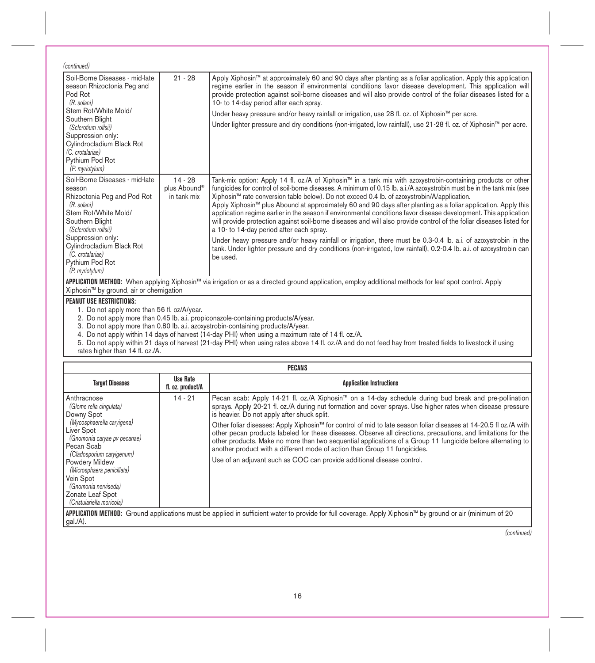| (continued)                                                                                                                                                                                                                                                           |                                                      |                                                                                                                                                                                                                                                                                                                                                                                                                                                                                                                                                                                                                                                                                                                                                                                                                                                                                                                                                                                                       |
|-----------------------------------------------------------------------------------------------------------------------------------------------------------------------------------------------------------------------------------------------------------------------|------------------------------------------------------|-------------------------------------------------------------------------------------------------------------------------------------------------------------------------------------------------------------------------------------------------------------------------------------------------------------------------------------------------------------------------------------------------------------------------------------------------------------------------------------------------------------------------------------------------------------------------------------------------------------------------------------------------------------------------------------------------------------------------------------------------------------------------------------------------------------------------------------------------------------------------------------------------------------------------------------------------------------------------------------------------------|
| Soil-Borne Diseases - mid-late<br>season Rhizoctonia Peg and<br>Pod Rot<br>(R. solani)<br>Stem Rot/White Mold/<br>Southern Blight<br>(Sclerotium rolfsii)<br>Suppression only:<br>Cylindrocladium Black Rot<br>(C. crotalariae)<br>Pythium Pod Rot<br>(P. myriotylum) | $21 - 28$                                            | Apply Xiphosin™ at approximately 60 and 90 days after planting as a foliar application. Apply this application<br>regime earlier in the season if environmental conditions favor disease development. This application will<br>provide protection against soil-borne diseases and will also provide control of the foliar diseases listed for a<br>10- to 14-day period after each spray.<br>Under heavy pressure and/or heavy rainfall or irrigation, use 28 fl. oz. of Xiphosin™ per acre.<br>Under lighter pressure and dry conditions (non-irrigated, low rainfall), use 21-28 fl. oz. of Xiphosin™ per acre.                                                                                                                                                                                                                                                                                                                                                                                     |
| Soil-Borne Diseases - mid-late<br>season<br>Rhizoctonia Peg and Pod Rot<br>(R. solani)<br>Stem Rot/White Mold/<br>Southern Blight<br>(Sclerotium rolfsii)<br>Suppression only:<br>Cvlindrocladium Black Rot<br>(C. crotalariae)<br>Pythium Pod Rot<br>(P. myriotylum) | $14 - 28$<br>plus Abound <sup>®</sup><br>in tank mix | Tank-mix option: Apply 14 fl. oz./A of Xiphosin™ in a tank mix with azoxystrobin-containing products or other<br>fungicides for control of soil-borne diseases. A minimum of 0.15 lb. a.i./A azoxystrobin must be in the tank mix (see<br>Xiphosin™ rate conversion table below). Do not exceed 0.4 lb. of azoxystrobin/A/application.<br>Apply Xiphosin™ plus Abound at approximately 60 and 90 days after planting as a foliar application. Apply this<br>application regime earlier in the season if environmental conditions favor disease development. This application<br>will provide protection against soil-borne diseases and will also provide control of the foliar diseases listed for<br>a 10- to 14-day period after each spray.<br>Under heavy pressure and/or heavy rainfall or irrigation, there must be 0.3-0.4 lb. a.i. of azoxystrobin in the<br>tank. Under lighter pressure and dry conditions (non-irrigated, low rainfall), 0.2-0.4 lb. a.i. of azoxystrobin can<br>be used. |

**APPLICATION METHOD: W**hen applying Xiphosin™ via irrigation or as a directed ground application, employ additional methods for leaf spot control. Apply<br>Xiphosin™ by ground, air or chemigation

### **PEANUT USE RESTRICTIONS:**

1. Do not apply more than 56 fl. oz/A/year.<br>2. Do not apply more than 0.45 lb. a.i. propiconazole-containing products/A/year.<br>3. Do not apply more than 0.80 lb. a.i. azoxystrobin-containing products/A/year.

4. Do not apply within 14 days of harvest (14-day PHI) when using a maximum rate of 14 fl. oz./A.<br>5. Do not apply within 21 days of harvest (21-day PHI) when using rates above 14 fl. oz./A and do not feed hay from treated rates higher than 14 fl. oz./A.

| PECANS                                                                                                                                                                                                                                                                                                            |                               |                                                                                                                                                                                                                                                                                                                                                                                                                                                                                                                                                                                                                                                                                                                                                                                 |
|-------------------------------------------------------------------------------------------------------------------------------------------------------------------------------------------------------------------------------------------------------------------------------------------------------------------|-------------------------------|---------------------------------------------------------------------------------------------------------------------------------------------------------------------------------------------------------------------------------------------------------------------------------------------------------------------------------------------------------------------------------------------------------------------------------------------------------------------------------------------------------------------------------------------------------------------------------------------------------------------------------------------------------------------------------------------------------------------------------------------------------------------------------|
| <b>Target Diseases</b>                                                                                                                                                                                                                                                                                            | Use Rate<br>fl. oz. product/A | <b>Application Instructions</b>                                                                                                                                                                                                                                                                                                                                                                                                                                                                                                                                                                                                                                                                                                                                                 |
| Anthracnose<br>(Glome rella cingulata)<br>Downy Spot<br>(Mycosphaerella caryigena)<br>Liver Spot<br>(Gnomonia caryae pv pecanae)<br>Pecan Scab<br>(Cladosporium caryigenum)<br>Powdery Mildew<br>(Microsphaera penicillata)<br>Vein Spot<br>(Gnomonia nerviseda)<br>Zonate Leaf Spot<br>(Cristulariella moricola) | $14 - 21$                     | Pecan scab: Apply 14-21 fl. oz./A Xiphosin™ on a 14-day schedule during bud break and pre-pollination<br>sprays. Apply 20-21 fl. oz./A during nut formation and cover sprays. Use higher rates when disease pressure<br>is heavier. Do not apply after shuck split.<br>Other foliar diseases: Apply Xiphosin™ for control of mid to late season foliar diseases at 14-20.5 fl oz./A with<br>other pecan products labeled for these diseases. Observe all directions, precautions, and limitations for the<br>other products. Make no more than two sequential applications of a Group 11 fungicide before alternating to<br>another product with a different mode of action than Group 11 fungicides.<br>Use of an adjuvant such as COC can provide additional disease control. |
| $qal./A$ ).                                                                                                                                                                                                                                                                                                       |                               | <b>APPLICATION METHOD:</b> Ground applications must be applied in sufficient water to provide for full coverage. Apply Xiphosin™ by ground or air (minimum of 20                                                                                                                                                                                                                                                                                                                                                                                                                                                                                                                                                                                                                |

*(continued)*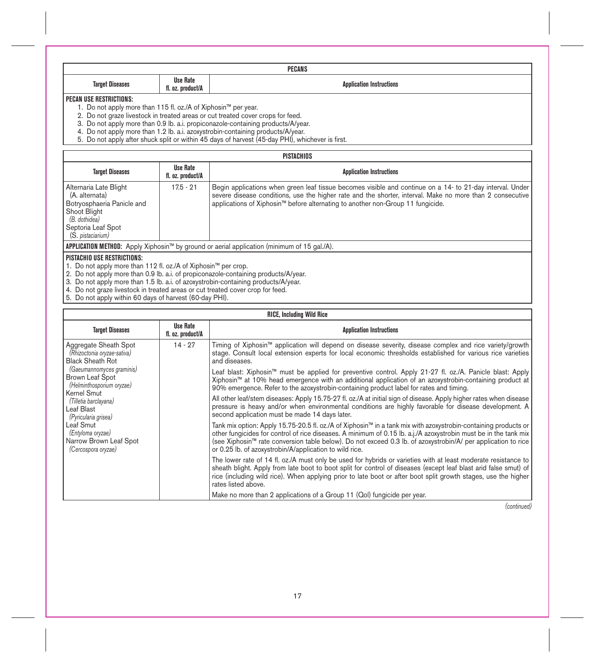| PECANS                    |                               |                                       |
|---------------------------|-------------------------------|---------------------------------------|
| <b>Targe</b><br>м.<br>. . | Rate<br>Use<br>11. O<br>uuvum | wian Inatruatio<br>Innis<br>au ucuona |

## **PECAN USE RESTRICTIONS:**

1. Do not apply more than 115 fl. oz./A of Xiphosin™ per year.

2. Do not graze livestock in treated areas or cut treated cover crops for feed.

3. Do not apply more than 0.9 lb. a.i. propiconazole-containing products/A/year.

4. Do not apply more than 1.2 lb. a.i. azoxystrobin-containing products/A/year.

5. Do not apply after shuck split or within 45 days of harvest (45-day PHI), whichever is first.

|                                                                                                                                                    | PISTACHIOS                           |                                                                                                                                                                                                                                                                                                           |  |  |
|----------------------------------------------------------------------------------------------------------------------------------------------------|--------------------------------------|-----------------------------------------------------------------------------------------------------------------------------------------------------------------------------------------------------------------------------------------------------------------------------------------------------------|--|--|
| <b>Target Diseases</b>                                                                                                                             | <b>Use Rate</b><br>fl. oz. product/A | <b>Application Instructions</b>                                                                                                                                                                                                                                                                           |  |  |
| Alternaria Late Blight<br>(A. alternata)<br>Botryosphaeria Panicle and<br>Shoot Blight<br>(B. dothidea)<br>Septoria Leaf Spot<br>(S. pistaciarium) | $17.5 - 21$                          | Begin applications when green leaf tissue becomes visible and continue on a 14- to 21-day interval. Under<br>severe disease conditions, use the higher rate and the shorter, interval. Make no more than 2 consecutive<br>applications of Xiphosin™ before alternating to another non-Group 11 fungicide. |  |  |
| APPLICATION METHOD: Apply Xiphosin™ by ground or aerial application (minimum of 15 gal./A).                                                        |                                      |                                                                                                                                                                                                                                                                                                           |  |  |
| <b>BIOTLOUIO UOF BEOTBIOTIQUO</b>                                                                                                                  |                                      |                                                                                                                                                                                                                                                                                                           |  |  |

#### **PISTACHIO USE RESTRICTIONS:**

1. Do not apply more than 112 fl. oz./A of Xiphosin™ per crop.<br>2. Do not apply more than 0.9 lb. a.i. of propiconazole-containing products/A/year.<br>3. Do not apply more than 1.5 lb. a.i. of azoxystrobin-containing products

4. Do not graze livestock in treated areas or cut treated cover crop for feed. 5. Do not apply within 60 days of harvest (60-day PHI).

| <b>RICE.</b> Including Wild Rice                                                                                                                                          |                                                                                                                                                                                                                                                                                                                 |                                                                                                                                                                                                                                                                                                                                                                                                                 |
|---------------------------------------------------------------------------------------------------------------------------------------------------------------------------|-----------------------------------------------------------------------------------------------------------------------------------------------------------------------------------------------------------------------------------------------------------------------------------------------------------------|-----------------------------------------------------------------------------------------------------------------------------------------------------------------------------------------------------------------------------------------------------------------------------------------------------------------------------------------------------------------------------------------------------------------|
| <b>Target Diseases</b>                                                                                                                                                    | <b>Use Rate</b><br>fl. oz. product/A                                                                                                                                                                                                                                                                            | <b>Application Instructions</b>                                                                                                                                                                                                                                                                                                                                                                                 |
| $14 - 27$<br>Aggregate Sheath Spot<br>(Rhizoctonia oryzae-sativa)<br><b>Black Sheath Rot</b><br>(Gaeumannomyces graminis)<br>Brown Leaf Spot<br>(Helminthosporium oryzae) |                                                                                                                                                                                                                                                                                                                 | Timing of Xiphosin™ application will depend on disease severity, disease complex and rice variety/growth<br>stage. Consult local extension experts for local economic thresholds established for various rice varieties<br>and diseases.                                                                                                                                                                        |
|                                                                                                                                                                           | Leaf blast: Xiphosin™ must be applied for preventive control. Apply 21-27 fl. oz./A. Panicle blast: Apply<br>Xiphosin™ at 10% head emergence with an additional application of an azoxystrobin-containing product at<br>90% emergence. Refer to the azoxystrobin-containing product label for rates and timing. |                                                                                                                                                                                                                                                                                                                                                                                                                 |
| Kernel Smut<br>(Tilletia barclayana)<br>Leaf Blast<br>(Pyricularia grisea)                                                                                                |                                                                                                                                                                                                                                                                                                                 | All other leaf/stem diseases: Apply 15.75-27 fl. oz./A at initial sign of disease. Apply higher rates when disease<br>pressure is heavy and/or when environmental conditions are highly favorable for disease development. A<br>second application must be made 14 days later.                                                                                                                                  |
| Leaf Smut<br>(Entyloma oryzae)<br>Narrow Brown Leaf Spot<br>(Cercospora oryzae)                                                                                           |                                                                                                                                                                                                                                                                                                                 | Tank mix option: Apply 15.75-20.5 fl. oz./A of Xiphosin™ in a tank mix with azoxystrobin-containing products or<br>other fungicides for control of rice diseases. A minimum of 0.15 lb. a.j./A azoxystrobin must be in the tank mix<br>(see Xiphosin™ rate conversion table below). Do not exceed 0.3 lb. of azoxystrobin/A/ per application to rice<br>or 0.25 lb. of azoxystrobin/A/application to wild rice. |
|                                                                                                                                                                           |                                                                                                                                                                                                                                                                                                                 | The lower rate of 14 fl. oz./A must only be used for hybrids or varieties with at least moderate resistance to<br>sheath blight. Apply from late boot to boot split for control of diseases (except leaf blast arid false smut) of<br>rice (including wild rice). When applying prior to late boot or after boot split growth stages, use the higher<br>rates listed above.                                     |
|                                                                                                                                                                           |                                                                                                                                                                                                                                                                                                                 | Make no more than 2 applications of a Group 11 (Qol) fungicide per year.                                                                                                                                                                                                                                                                                                                                        |

*(continued)*

## 17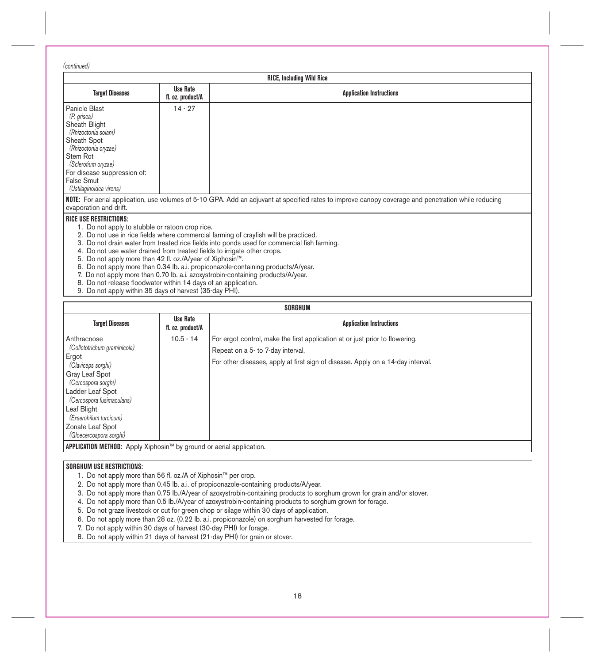*(continued)*

| <b>RICE, Including Wild Rice</b>                                                                                                                                                                                                                                                                                                                       |                                      |                                                                                                                                                                                                                                                                                                                                                              |
|--------------------------------------------------------------------------------------------------------------------------------------------------------------------------------------------------------------------------------------------------------------------------------------------------------------------------------------------------------|--------------------------------------|--------------------------------------------------------------------------------------------------------------------------------------------------------------------------------------------------------------------------------------------------------------------------------------------------------------------------------------------------------------|
| <b>Target Diseases</b>                                                                                                                                                                                                                                                                                                                                 | <b>Use Rate</b><br>fl. oz. product/A | <b>Application Instructions</b>                                                                                                                                                                                                                                                                                                                              |
| Panicle Blast<br>(P. grisea)<br>Sheath Blight<br>(Rhizoctonia solani)<br>Sheath Spot<br>(Rhizoctonia oryzae)<br>Stem Rot<br>(Sclerotium oryzae)<br>For disease suppression of:<br>False Smut<br>(Ustilaginoidea virens)                                                                                                                                | $14 - 27$                            |                                                                                                                                                                                                                                                                                                                                                              |
| evaporation and drift.                                                                                                                                                                                                                                                                                                                                 |                                      | NOTE: For aerial application, use volumes of 5-10 GPA. Add an adjuvant at specified rates to improve canopy coverage and penetration while reducing                                                                                                                                                                                                          |
| <b>RICE USE RESTRICTIONS:</b><br>1. Do not apply to stubble or ratoon crop rice.<br>4. Do not use water drained from treated fields to irrigate other crops.<br>5. Do not apply more than 42 fl. oz./A/year of Xiphosin™.<br>8. Do not release floodwater within 14 days of an application.<br>9. Do not apply within 35 days of harvest (35-day PHI). |                                      | 2. Do not use in rice fields where commercial farming of crayfish will be practiced.<br>3. Do not drain water from treated rice fields into ponds used for commercial fish farming.<br>6. Do not apply more than 0.34 lb. a.i. propiconazole-containing products/A/year.<br>7. Do not apply more than 0.70 lb. a.i. azoxystrobin-containing products/A/year. |

| SORGHUM                                                                                                                                                                                                                                                      |                                      |                                                                                                                                                                                                      |
|--------------------------------------------------------------------------------------------------------------------------------------------------------------------------------------------------------------------------------------------------------------|--------------------------------------|------------------------------------------------------------------------------------------------------------------------------------------------------------------------------------------------------|
| <b>Target Diseases</b>                                                                                                                                                                                                                                       | <b>Use Rate</b><br>fl. oz. product/A | <b>Application Instructions</b>                                                                                                                                                                      |
| Anthracnose<br>(Colletotrichum graminicola)<br>Ergot<br>(Claviceps sorghi)<br>Gray Leaf Spot<br>(Cercospora sorghi)<br>Ladder Leaf Spot<br>(Cercospora fusimaculans)<br>Leaf Blight<br>(Exserohilum turcicum)<br>Zonate Leaf Spot<br>(Gloecercospora sorghi) | $10.5 - 14$                          | For ergot control, make the first application at or just prior to flowering.<br>Repeat on a 5- to 7-day interval.<br>For other diseases, apply at first sign of disease. Apply on a 14-day interval. |
| <b>APPLICATION METHOD:</b> Apply Xiphosin™ by ground or aerial application.                                                                                                                                                                                  |                                      |                                                                                                                                                                                                      |

# **SORGHUM USE RESTRICTIONS:**

1. Do not apply more than 56 fl. oz./A of Xiphosin™ per crop.

2. Do not apply more than 0.45 lb. a.i. of propiconazole-containing products/A/year.

3. Do not apply more than 0.75 Ib./A/year of azoxystrobin-containing products to sorghum grown for grain and/or stover.

4. Do not apply more than 0.5 Ib./A/year of azoxystrobin-containing products to sorghum grown for forage.

5. Do not graze livestock or cut for green chop or silage within 30 days of application.

6. Do not apply more than 28 oz. (0.22 lb. a.i. propiconazole) on sorghum harvested for forage.

7. Do not apply within 30 days of harvest (30-day PHI) for forage.

8. Do not apply within 21 days of harvest (21-day PHI) for grain or stover.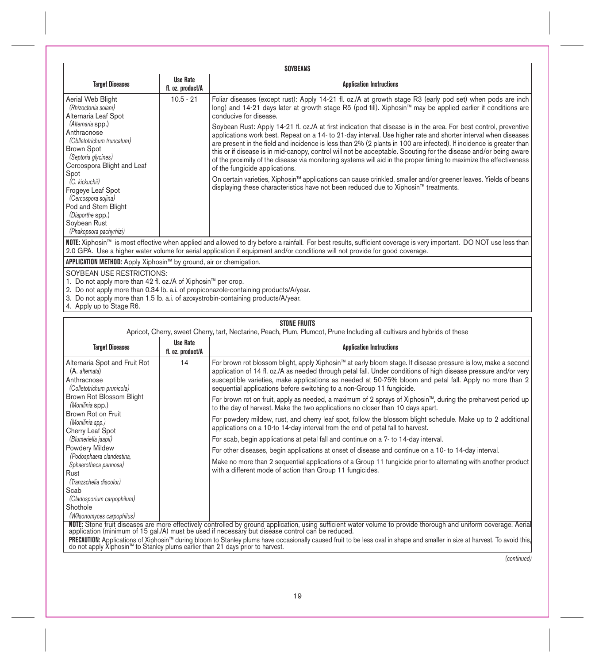|                                                                                                                                                                                                                                                                                                      | SOYBEANS                                                           |                                                                                                                                                                                                                                                                                                                                                                                                                                                                                                                                                                                                                                        |  |
|------------------------------------------------------------------------------------------------------------------------------------------------------------------------------------------------------------------------------------------------------------------------------------------------------|--------------------------------------------------------------------|----------------------------------------------------------------------------------------------------------------------------------------------------------------------------------------------------------------------------------------------------------------------------------------------------------------------------------------------------------------------------------------------------------------------------------------------------------------------------------------------------------------------------------------------------------------------------------------------------------------------------------------|--|
| <b>Target Diseases</b>                                                                                                                                                                                                                                                                               | <b>Use Rate</b><br>fl. oz. product/A                               | <b>Application Instructions</b>                                                                                                                                                                                                                                                                                                                                                                                                                                                                                                                                                                                                        |  |
| Aerial Web Blight<br>$10.5 - 21$<br>(Rhizoctonia solani)<br>Alternaria Leaf Spot<br>(Alternaria spp.)                                                                                                                                                                                                |                                                                    | Foliar diseases (except rust): Apply 14-21 fl. oz./A at growth stage R3 (early pod set) when pods are inch<br>long) and 14-21 days later at growth stage R5 (pod fill). Xiphosin™ may be applied earlier if conditions are<br>conducive for disease.                                                                                                                                                                                                                                                                                                                                                                                   |  |
| Anthracnose<br>(Cblletotrichum truncatum)<br><b>Brown Spot</b><br>(Septoria glycines)<br>Cercospora Blight and Leaf<br>Spot                                                                                                                                                                          |                                                                    | Soybean Rust: Apply 14-21 fl. oz./A at first indication that disease is in the area. For best control, preventive<br>applications work best. Repeat on a 14- to 21-day interval. Use higher rate and shorter interval when diseases<br>are present in the field and incidence is less than 2% (2 plants in 100 are infected). If incidence is greater than<br>this or if disease is in mid-canopy, control will not be acceptable. Scouting for the disease and/or being aware<br>of the proximity of the disease via monitoring systems will aid in the proper timing to maximize the effectiveness<br>of the fungicide applications. |  |
| (C. kickuchii)<br>Frogeye Leaf Spot<br>(Cercospora sojina)<br>Pod and Stem Blight<br>(Diaporthe spp.)<br>Soybean Rust<br>(Phakopsora pachyrhizi)                                                                                                                                                     |                                                                    | On certain varieties, Xiphosin™ applications can cause crinkled, smaller and/or greener leaves. Yields of beans<br>displaying these characteristics have not been reduced due to Xiphosin™ treatments.                                                                                                                                                                                                                                                                                                                                                                                                                                 |  |
| NOTE: Xiphosin™ is most effective when applied and allowed to dry before a rainfall. For best results, sufficient coverage is very important. DO NOT use less than<br>2.0 GPA. Use a higher water volume for aerial application if equipment and/or conditions will not provide for good coverage.   |                                                                    |                                                                                                                                                                                                                                                                                                                                                                                                                                                                                                                                                                                                                                        |  |
|                                                                                                                                                                                                                                                                                                      | APPLICATION METHOD: Apply Xiphosin™ by ground, air or chemigation. |                                                                                                                                                                                                                                                                                                                                                                                                                                                                                                                                                                                                                                        |  |
| SOYBEAN USE RESTRICTIONS:<br>1. Do not apply more than 42 fl. oz./A of Xiphosin™ per crop.<br>2. Do not apply more than 0.34 lb. a.i. of propiconazole-containing products/A/year.<br>3. Do not apply more than 1.5 lb. a.i. of azoxystrobin-containing products/A/year.<br>4. Apply up to Stage R6. |                                                                    |                                                                                                                                                                                                                                                                                                                                                                                                                                                                                                                                                                                                                                        |  |

# **STONE FRUITS**

|                                                                                                                                                                                                                                                                                                                                                                                                                               |                                      | Apricot, Cherry, sweet Cherry, tart, Nectarine, Peach, Plum, Plumcot, Prune Including all cultivars and hybrids of these                                                                                                                                                                                                                                                                                                                                                                                                                                                                                                                                                                                                                                                                                                                                                                                                                                                                                                                                                                                                                                                                             |
|-------------------------------------------------------------------------------------------------------------------------------------------------------------------------------------------------------------------------------------------------------------------------------------------------------------------------------------------------------------------------------------------------------------------------------|--------------------------------------|------------------------------------------------------------------------------------------------------------------------------------------------------------------------------------------------------------------------------------------------------------------------------------------------------------------------------------------------------------------------------------------------------------------------------------------------------------------------------------------------------------------------------------------------------------------------------------------------------------------------------------------------------------------------------------------------------------------------------------------------------------------------------------------------------------------------------------------------------------------------------------------------------------------------------------------------------------------------------------------------------------------------------------------------------------------------------------------------------------------------------------------------------------------------------------------------------|
| <b>Target Diseases</b>                                                                                                                                                                                                                                                                                                                                                                                                        | <b>Use Rate</b><br>fl. oz. product/A | <b>Application Instructions</b>                                                                                                                                                                                                                                                                                                                                                                                                                                                                                                                                                                                                                                                                                                                                                                                                                                                                                                                                                                                                                                                                                                                                                                      |
| Alternaria Spot and Fruit Rot<br>(A. alternata)<br>Anthracnose<br>(Colletotrichum prunicola)<br>Brown Rot Blossom Blight<br>(Monilinia spp.)<br>Brown Rot on Fruit<br>(Monilinia spp.)<br>Cherry Leaf Spot<br>(Blumeriella jaapii)<br>Powdery Mildew<br>(Podosphaera clandestina,<br>Sphaerotheca pannosa)<br>Rust<br>(Tranzschelia discolor)<br>Scab<br>(Cladosporium carpophilum)<br>Shothole<br>(Wilsonomyces carpophilus) | 14                                   | For brown rot blossom blight, apply Xiphosin™ at early bloom stage. If disease pressure is low, make a second<br>application of 14 fl. oz./A as needed through petal fall. Under conditions of high disease pressure and/or very<br>susceptible varieties, make applications as needed at 50-75% bloom and petal fall. Apply no more than 2<br>sequential applications before switching to a non-Group 11 fungicide.<br>For brown rot on fruit, apply as needed, a maximum of 2 sprays of Xiphosin™, during the preharvest period up<br>to the day of harvest. Make the two applications no closer than 10 days apart.<br>For powdery mildew, rust, and cherry leaf spot, follow the blossom blight schedule. Make up to 2 additional<br>applications on a 10-to 14-day interval from the end of petal fall to harvest.<br>For scab, begin applications at petal fall and continue on a 7- to 14-day interval.<br>For other diseases, begin applications at onset of disease and continue on a 10- to 14-day interval.<br>Make no more than 2 sequential applications of a Group 11 fungicide prior to alternating with another product<br>with a different mode of action than Group 11 fungicides. |
|                                                                                                                                                                                                                                                                                                                                                                                                                               |                                      | NUTE: Stone fruit diseases are more effectively controlled by ground application, using sufficient water volume to provide thorough and uniform coverage. Aerial<br>application (minimum of 15 gal./A) must be used if necessary                                                                                                                                                                                                                                                                                                                                                                                                                                                                                                                                                                                                                                                                                                                                                                                                                                                                                                                                                                     |
|                                                                                                                                                                                                                                                                                                                                                                                                                               |                                      | PRECAUTION: Applications of Xiphosin <sup>nu</sup> during bloom to Stanley plums have occasionally caused fruit to be less oval in shape and smaller in size at harvest. To avoid this, do not apply Xiphosin <sup>nu</sup> to Stanley plums earli                                                                                                                                                                                                                                                                                                                                                                                                                                                                                                                                                                                                                                                                                                                                                                                                                                                                                                                                                   |
|                                                                                                                                                                                                                                                                                                                                                                                                                               |                                      | (continued)                                                                                                                                                                                                                                                                                                                                                                                                                                                                                                                                                                                                                                                                                                                                                                                                                                                                                                                                                                                                                                                                                                                                                                                          |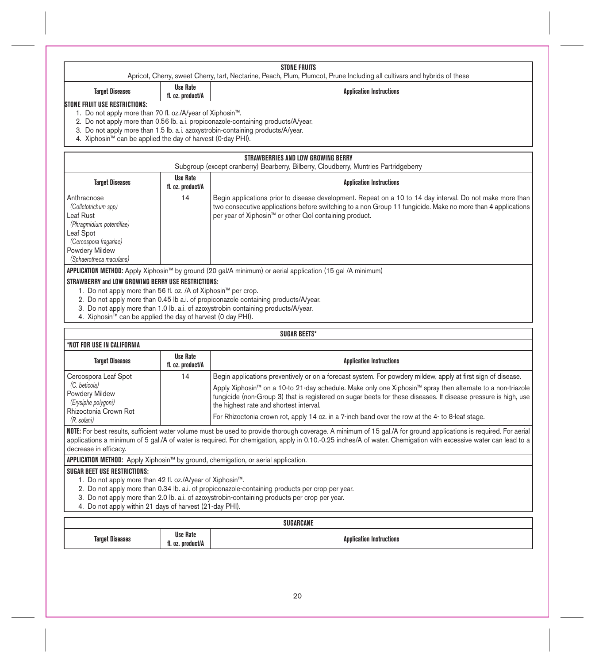|  | STONE FRUITS                                                                                                             |
|--|--------------------------------------------------------------------------------------------------------------------------|
|  | Apricot, Cherry, sweet Cherry, tart, Nectarine, Peach, Plum, Plumcot, Prune Including all cultivars and hybrids of these |
|  |                                                                                                                          |

# **Target Diseases Use Rate**

# **Application Instructions**

### **STONE FRUIT USE RESTRICTIONS:**

- 1. Do not apply more than 70 fl. oz./A/year of Xiphosin™.
- 2. Do not apply more than 0.56 lb. a.i. propiconazole-containing products/A/year.
- 3. Do not apply more than 1.5 lb. a.i. azoxystrobin-containing products/A/year.
- 4. Xiphosin™ can be applied the day of harvest (0-day PHI).

# **STRAWBERRIES AND LOW GROWING BERRY**

| Subgroup (except cranberry) Bearberry, Bilberry, Cloudberry, Muntries Partridgeberry                                                                              |                                      |                                                                                                                                                                                                                                                                                    |  |
|-------------------------------------------------------------------------------------------------------------------------------------------------------------------|--------------------------------------|------------------------------------------------------------------------------------------------------------------------------------------------------------------------------------------------------------------------------------------------------------------------------------|--|
| <b>Target Diseases</b>                                                                                                                                            | <b>Use Rate</b><br>fl. oz. product/A | <b>Application Instructions</b>                                                                                                                                                                                                                                                    |  |
| Anthracnose<br>(Colletotrichum spp)<br>Leaf Rust<br>(Phragmidium potentillae)<br>Leaf Spot<br>(Cercospora fragariae)<br>Powdery Mildew<br>(Sphaerotheca maculans) | 14                                   | Begin applications prior to disease development. Repeat on a 10 to 14 day interval. Do not make more than<br>two consecutive applications before switching to a non Group 11 fungicide. Make no more than 4 applications<br>per year of Xiphosin™ or other Qol containing product. |  |
| APPLICATION METHOD: Apply Xiphosin™ by ground (20 gal/A minimum) or aerial application (15 gal /A minimum)                                                        |                                      |                                                                                                                                                                                                                                                                                    |  |
| STRAWBERRY and LOW GROWING BERRY USE RESTRICTIONS:                                                                                                                |                                      |                                                                                                                                                                                                                                                                                    |  |

1. Do not apply more than 56 fl. oz. /A of Xiphosin™ per crop.

- 2. Do not apply more than 0.45 lb a.i. of propiconazole containing products/A/year.
- 3. Do not apply more than 1.0 lb. a.i. of azoxystrobin containing products/A/year.
- 4. Xiphosin™ can be applied the day of harvest (0 day PHI).

## **SUGAR BEETS\***

| *NOT FOR USE IN CALIFORNIA                                                                                             |                               |                                                                                                                                                                                                                                                                                                                                                                                                                                                                                                         |
|------------------------------------------------------------------------------------------------------------------------|-------------------------------|---------------------------------------------------------------------------------------------------------------------------------------------------------------------------------------------------------------------------------------------------------------------------------------------------------------------------------------------------------------------------------------------------------------------------------------------------------------------------------------------------------|
| <b>Target Diseases</b>                                                                                                 | Use Rate<br>fl. oz. product/A | <b>Application Instructions</b>                                                                                                                                                                                                                                                                                                                                                                                                                                                                         |
| Cercospora Leaf Spot<br>(C. beticola)<br>Powdery Mildew<br>(Erysiphe polygoni)<br>Rhizoctonia Crown Rot<br>(R. solani) | 14                            | Begin applications preventively or on a forecast system. For powdery mildew, apply at first sign of disease.<br>Apply Xiphosin <sup>™</sup> on a 10-to 21-day schedule. Make only one Xiphosin™ spray then alternate to a non-triazole<br>fungicide (non-Group 3) that is registered on sugar beets for these diseases. If disease pressure is high, use<br>the highest rate and shortest interval.<br>For Rhizoctonia crown rot, apply 14 oz. in a 7-inch band over the row at the 4- to 8-leaf stage. |

**NOTE:** For best results, sufficient water volume must be used to provide thorough coverage. A minimum of 15 gal./A for ground applications is required. For aerial applications a minimum of 5 gal./A of water is required. For chemigation, apply in 0.10.-0.25 inches/A of water. Chemigation with excessive water can lead to a decrease in efficacy.

**APPLICATION METHOD:** Apply Xiphosin™ by ground, chemigation, or aerial application.

### **SUGAR BEET USE RESTRICTIONS:**

- 1. Do not apply more than 42 fl. oz./A/year of Xiphosin™.
- 2. Do not apply more than 0.34 lb. a.i. of propiconazole-containing products per crop per year.
- 3. Do not apply more than 2.0 lb. a.i. of azoxystrobin-containing products per crop per year.
- 4. Do not apply within 21 days of harvest (21-day PHI).

| SUGARCANE         |                                            |                             |  |
|-------------------|--------------------------------------------|-----------------------------|--|
| Tarne<br>. .<br>. | <b>Use Rate</b><br>$\cdots$<br>duct/A<br>. | ation Instructions:<br>Ann' |  |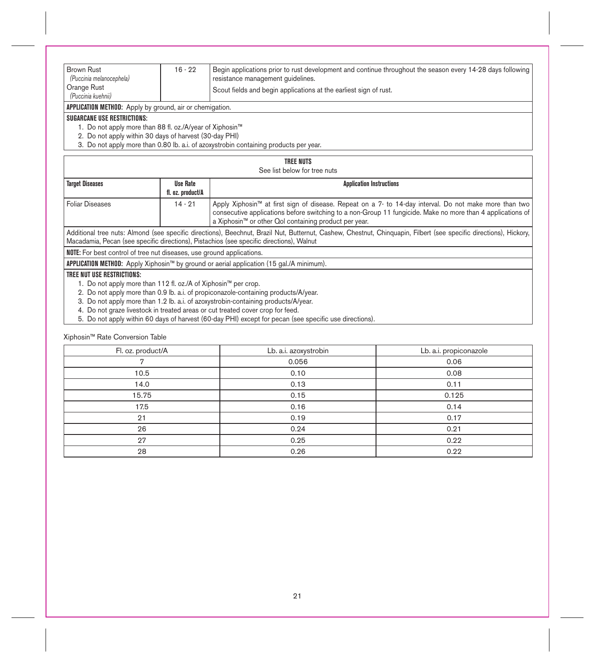| <b>Brown Rust</b><br>(Puccinia melanocephela)<br>Orange Rust<br>(Puccinia kuehnii)                                                                       | $16 - 22$                                                               | Begin applications prior to rust development and continue throughout the season every 14-28 days following<br>resistance management quidelines.<br>Scout fields and begin applications at the earliest sign of rust. |
|----------------------------------------------------------------------------------------------------------------------------------------------------------|-------------------------------------------------------------------------|----------------------------------------------------------------------------------------------------------------------------------------------------------------------------------------------------------------------|
| APPLICATION METHOD: Apply by ground, air or chemigation.                                                                                                 |                                                                         |                                                                                                                                                                                                                      |
| <b>SUGARCANE USE RESTRICTIONS:</b><br>1. Do not apply more than 88 fl. oz./A/year of Xiphosin™<br>2. Do not apply within 30 days of harvest (30-day PHI) |                                                                         | 3. Do not apply more than 0.80 lb. a.i. of azoxystrobin containing products per year.                                                                                                                                |
|                                                                                                                                                          |                                                                         | <b>TREE NUTS</b><br>See list below for tree nuts                                                                                                                                                                     |
| <b>Target Diseases</b>                                                                                                                                   | <b>Use Rate</b><br><b>Application Instructions</b><br>fl. oz. product/A |                                                                                                                                                                                                                      |
| <b>Foliar Diseases</b>                                                                                                                                   | $14 - 21$                                                               | Apply Xiphosin <sup>™</sup> at first sign of disease. Repeat on a 7- to 14-day interval. Do not make more than two                                                                                                   |

Foliar Diseases Follar Holdy interval. Do not make more than two consecutive applications before switching to a non-Group 11 fungicide. Make no more than 4 applications of consecutive applications before switching to a no a Xiphosin™ or other Qol containing product per year. Additional tree nuts: Almond (see specific directions), Beechnut, Brazil Nut, Butternut, Cashew, Chestnut, Chinquapin, Filbert (see specific directions), Hickory, Macadamia, Pecan (see specific directions), Pistachios (see specific directions), Walnut

**NOTE:** For best control of tree nut diseases, use ground applications.

**APPLICATION METHOD:** Apply Xiphosin™ by ground or aerial application (15 gal./A minimum).

# **TREE NUT USE RESTRICTIONS:**

1. Do not apply more than 112 fl. oz./A of Xiphosin™ per crop.

2. Do not apply more than 0.9 lb. a.i. of propiconazole-containing products/A/year.

3. Do not apply more than 1.2 lb. a.i. of azoxystrobin-containing products/A/year.

4. Do not graze livestock in treated areas or cut treated cover crop for feed.

5. Do not apply within 60 days of harvest (60-day PHI) except for pecan (see specific use directions).

Xiphosin™ Rate Conversion Table

| Fl. oz. product/A | Lb. a.i. azoxystrobin | Lb. a.i. propiconazole |
|-------------------|-----------------------|------------------------|
|                   | 0.056                 | 0.06                   |
| 10.5              | 0.10                  | 0.08                   |
| 14.0              | 0.13                  | 0.11                   |
| 15.75             | 0.15                  | 0.125                  |
| 17.5              | 0.16                  | 0.14                   |
| 21                | 0.19                  | 0.17                   |
| 26                | 0.24                  | 0.21                   |
| 27                | 0.25                  | 0.22                   |
| 28                | 0.26                  | 0.22                   |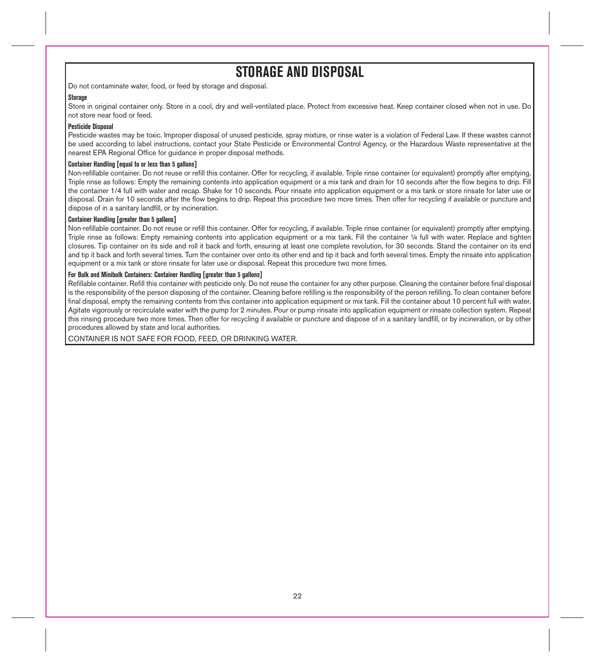# **STORAGE AND DISPOSAL**

Do not contaminate water, food, or feed by storage and disposal.

### **Storage**

Store in original container only. Store in a cool, dry and well-ventilated place. Protect from excessive heat. Keep container closed when not in use. Do not store near food or feed.

### **Pesticide Disposal**

Pesticide wastes may be toxic. Improper disposal of unused pesticide, spray mixture, or rinse water is a violation of Federal Law. If these wastes cannot be used according to label instructions, contact your State Pesticide or Environmental Control Agency, or the Hazardous Waste representative at the nearest EPA Regional Office for guidance in proper disposal methods.

## **Container Handling [equal to or less than 5 gallons]**

Non-refillable container. Do not reuse or refill this container. Offer for recycling, if available. Triple rinse container (or equivalent) promptly after emptying. Triple rinse as follows: Empty the remaining contents into application equipment or a mix tank and drain for 10 seconds after the flow begins to drip. Fill the container 1/4 full with water and recap. Shake for 10 seconds. Pour rinsate into application equipment or a mix tank or store rinsate for later use or disposal. Drain for 10 seconds after the flow begins to drip. Repeat this procedure two more times. Then offer for recycling if available or puncture and dispose of in a sanitary landfill, or by incineration.

### **Container Handling [greater than 5 gallons]**

Non-refillable container. Do not reuse or refill this container. Offer for recycling, if available. Triple rinse container (or equivalent) promptly after emptying. Triple rinse as follows: Empty remaining contents into application equipment or a mix tank. Fill the container 1/4 full with water. Replace and tighten closures. Tip container on its side and roll it back and forth, ensuring at least one complete revolution, for 30 seconds. Stand the container on its end and tip it back and forth several times. Turn the container over onto its other end and tip it back and forth several times. Empty the rinsate into application equipment or a mix tank or store rinsate for later use or disposal. Repeat this procedure two more times.

## **For Bulk and Minibulk Containers: Container Handling [greater than 5 gallons]**

Refillable container. Refill this container with pesticide only. Do not reuse the container for any other purpose. Cleaning the container before final disposal is the responsibility of the person disposing of the container. Cleaning before refilling is the responsibility of the person refilling. To clean container before final disposal, empty the remaining contents from this container into application equipment or mix tank. Fill the container about 10 percent full with water. Agitate vigorously or recirculate water with the pump for 2 minutes. Pour or pump rinsate into application equipment or rinsate collection system. Repeat this rinsing procedure two more times. Then offer for recycling if available or puncture and dispose of in a sanitary landfill, or by incineration, or by other procedures allowed by state and local authorities.

CONTAINER IS NOT SAFE FOR FOOD, FEED, OR DRINKING WATER.